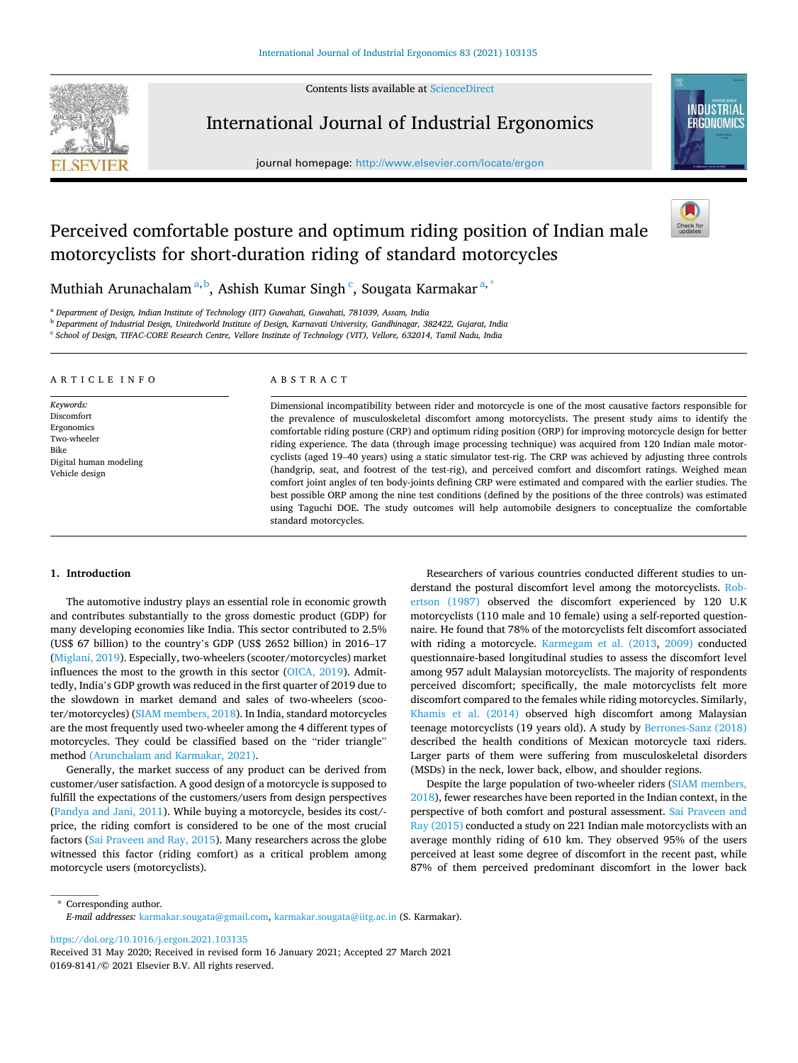Contents lists available at [ScienceDirect](www.sciencedirect.com/science/journal/01698141)



International Journal of Industrial Ergonomics

journal homepage: [http://www.elsevier.com/locate/ergon](https://http://www.elsevier.com/locate/ergon)



# Perceived comfortable posture and optimum riding position of Indian male motorcyclists for short-duration riding of standard motorcycles



Muthiah Arunachalam<sup>a, b</sup>, Ashish Kumar Singh  $\lq$ , Sougata Karmakar $\mathsf{^{a,*}}$ 

<sup>a</sup> *Department of Design, Indian Institute of Technology (IIT) Guwahati, Guwahati, 781039, Assam, India* 

<sup>b</sup> *Department of Industrial Design, Unitedworld Institute of Design, Karnavati University, Gandhinagar, 382422, Gujarat, India* 

c *School of Design, TIFAC-CORE Research Centre, Vellore Institute of Technology (VIT), Vellore, 632014, Tamil Nadu, India* 

#### A R T I C L E I N F O

*Keywords:*  Discomfort Ergonomics Two-wheeler Bike Digital human modeling Vehicle design

## ABSTRACT

Dimensional incompatibility between rider and motorcycle is one of the most causative factors responsible for the prevalence of musculoskeletal discomfort among motorcyclists. The present study aims to identify the comfortable riding posture (CRP) and optimum riding position (ORP) for improving motorcycle design for better riding experience. The data (through image processing technique) was acquired from 120 Indian male motorcyclists (aged 19–40 years) using a static simulator test-rig. The CRP was achieved by adjusting three controls (handgrip, seat, and footrest of the test-rig), and perceived comfort and discomfort ratings. Weighed mean comfort joint angles of ten body-joints defining CRP were estimated and compared with the earlier studies. The best possible ORP among the nine test conditions (defined by the positions of the three controls) was estimated using Taguchi DOE. The study outcomes will help automobile designers to conceptualize the comfortable standard motorcycles.

## **1. Introduction**

The automotive industry plays an essential role in economic growth and contributes substantially to the gross domestic product (GDP) for many developing economies like India. This sector contributed to 2.5% (US\$ 67 billion) to the country's GDP (US\$ 2652 billion) in 2016–17 ([Miglani, 2019](#page-15-0)). Especially, two-wheelers (scooter/motorcycles) market influences the most to the growth in this sector [\(OICA, 2019](#page-15-0)). Admittedly, India's GDP growth was reduced in the first quarter of 2019 due to the slowdown in market demand and sales of two-wheelers (scooter/motorcycles) [\(SIAM members, 2018](#page-15-0)). In India, standard motorcycles are the most frequently used two-wheeler among the 4 different types of motorcycles. They could be classified based on the "rider triangle" method [\(Arunchalam and Karmakar, 2021\).](#page-14-0)

Generally, the market success of any product can be derived from customer/user satisfaction. A good design of a motorcycle is supposed to fulfill the expectations of the customers/users from design perspectives ([Pandya and Jani, 2011\)](#page-15-0). While buying a motorcycle, besides its cost/ price, the riding comfort is considered to be one of the most crucial factors ([Sai Praveen and Ray, 2015\)](#page-15-0). Many researchers across the globe witnessed this factor (riding comfort) as a critical problem among motorcycle users (motorcyclists).

Researchers of various countries conducted different studies to understand the postural discomfort level among the motorcyclists. [Rob](#page-15-0)[ertson \(1987\)](#page-15-0) observed the discomfort experienced by 120 U.K motorcyclists (110 male and 10 female) using a self-reported questionnaire. He found that 78% of the motorcyclists felt discomfort associated with riding a motorcycle. [Karmegam et al. \(2013](#page-15-0), [2009\)](#page-15-0) conducted questionnaire-based longitudinal studies to assess the discomfort level among 957 adult Malaysian motorcyclists. The majority of respondents perceived discomfort; specifically, the male motorcyclists felt more discomfort compared to the females while riding motorcycles. Similarly, [Khamis et al. \(2014\)](#page-15-0) observed high discomfort among Malaysian teenage motorcyclists (19 years old). A study by [Berrones-Sanz \(2018\)](#page-14-0)  described the health conditions of Mexican motorcycle taxi riders. Larger parts of them were suffering from musculoskeletal disorders (MSDs) in the neck, lower back, elbow, and shoulder regions.

Despite the large population of two-wheeler riders ([SIAM members,](#page-15-0)  [2018\)](#page-15-0), fewer researches have been reported in the Indian context, in the perspective of both comfort and postural assessment. [Sai Praveen and](#page-15-0)  [Ray \(2015\)](#page-15-0) conducted a study on 221 Indian male motorcyclists with an average monthly riding of 610 km. They observed 95% of the users perceived at least some degree of discomfort in the recent past, while 87% of them perceived predominant discomfort in the lower back

\* Corresponding author. *E-mail addresses:* [karmakar.sougata@gmail.com](mailto:karmakar.sougata@gmail.com), [karmakar.sougata@iitg.ac.in](mailto:karmakar.sougata@iitg.ac.in) (S. Karmakar).

<https://doi.org/10.1016/j.ergon.2021.103135>

0169-8141/© 2021 Elsevier B.V. All rights reserved. Received 31 May 2020; Received in revised form 16 January 2021; Accepted 27 March 2021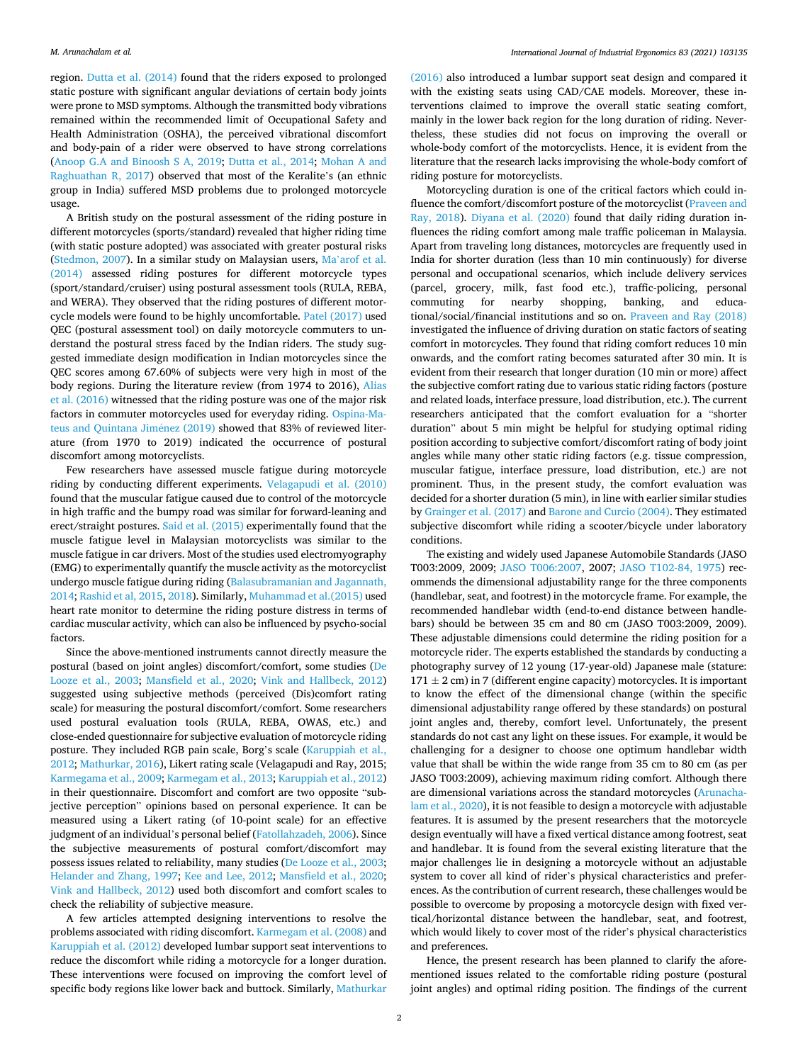region. [Dutta et al. \(2014\)](#page-15-0) found that the riders exposed to prolonged static posture with significant angular deviations of certain body joints were prone to MSD symptoms. Although the transmitted body vibrations remained within the recommended limit of Occupational Safety and Health Administration (OSHA), the perceived vibrational discomfort and body-pain of a rider were observed to have strong correlations ([Anoop G.A and Binoosh S A, 2019;](#page-14-0) [Dutta et al., 2014;](#page-15-0) [Mohan A and](#page-15-0)  [Raghuathan R, 2017\)](#page-15-0) observed that most of the Keralite's (an ethnic group in India) suffered MSD problems due to prolonged motorcycle usage.

A British study on the postural assessment of the riding posture in different motorcycles (sports/standard) revealed that higher riding time (with static posture adopted) was associated with greater postural risks ([Stedmon, 2007](#page-15-0)). In a similar study on Malaysian users, Ma'[arof et al.](#page-15-0)  [\(2014\)](#page-15-0) assessed riding postures for different motorcycle types (sport/standard/cruiser) using postural assessment tools (RULA, REBA, and WERA). They observed that the riding postures of different motorcycle models were found to be highly uncomfortable. [Patel \(2017\)](#page-15-0) used QEC (postural assessment tool) on daily motorcycle commuters to understand the postural stress faced by the Indian riders. The study suggested immediate design modification in Indian motorcycles since the QEC scores among 67.60% of subjects were very high in most of the body regions. During the literature review (from 1974 to 2016), [Alias](#page-14-0)  [et al. \(2016\)](#page-14-0) witnessed that the riding posture was one of the major risk factors in commuter motorcycles used for everyday riding. [Ospina-Ma](#page-15-0)[teus and Quintana Jim](#page-15-0)énez (2019) showed that 83% of reviewed literature (from 1970 to 2019) indicated the occurrence of postural discomfort among motorcyclists.

Few researchers have assessed muscle fatigue during motorcycle riding by conducting different experiments. [Velagapudi et al. \(2010\)](#page-16-0)  found that the muscular fatigue caused due to control of the motorcycle in high traffic and the bumpy road was similar for forward-leaning and erect/straight postures. [Said et al. \(2015\)](#page-15-0) experimentally found that the muscle fatigue level in Malaysian motorcyclists was similar to the muscle fatigue in car drivers. Most of the studies used electromyography (EMG) to experimentally quantify the muscle activity as the motorcyclist undergo muscle fatigue during riding [\(Balasubramanian and Jagannath,](#page-14-0)  [2014;](#page-14-0) [Rashid et al, 2015, 2018](#page-15-0)). Similarly, [Muhammad et al.\(2015\)](#page-15-0) used heart rate monitor to determine the riding posture distress in terms of cardiac muscular activity, which can also be influenced by psycho-social factors.

Since the above-mentioned instruments cannot directly measure the postural (based on joint angles) discomfort/comfort, some studies [\(De](#page-15-0)  [Looze et al., 2003;](#page-15-0) [Mansfield et al., 2020](#page-15-0); [Vink and Hallbeck, 2012\)](#page-16-0) suggested using subjective methods (perceived (Dis)comfort rating scale) for measuring the postural discomfort/comfort. Some researchers used postural evaluation tools (RULA, REBA, OWAS, etc.) and close-ended questionnaire for subjective evaluation of motorcycle riding posture. They included RGB pain scale, Borg's scale ([Karuppiah et al.,](#page-15-0)  [2012; Mathurkar, 2016](#page-15-0)), Likert rating scale (Velagapudi and Ray, 2015; [Karmegama et al., 2009; Karmegam et al., 2013; Karuppiah et al., 2012\)](#page-15-0) in their questionnaire. Discomfort and comfort are two opposite "subjective perception" opinions based on personal experience. It can be measured using a Likert rating (of 10-point scale) for an effective judgment of an individual's personal belief ([Fatollahzadeh, 2006\)](#page-15-0). Since the subjective measurements of postural comfort/discomfort may possess issues related to reliability, many studies ([De Looze et al., 2003](#page-15-0); [Helander and Zhang, 1997;](#page-15-0) [Kee and Lee, 2012;](#page-15-0) [Mansfield et al., 2020](#page-15-0); [Vink and Hallbeck, 2012](#page-16-0)) used both discomfort and comfort scales to check the reliability of subjective measure.

A few articles attempted designing interventions to resolve the problems associated with riding discomfort. [Karmegam et al. \(2008\)](#page-15-0) and [Karuppiah et al. \(2012\)](#page-15-0) developed lumbar support seat interventions to reduce the discomfort while riding a motorcycle for a longer duration. These interventions were focused on improving the comfort level of specific body regions like lower back and buttock. Similarly, [Mathurkar](#page-15-0) 

[\(2016\)](#page-15-0) also introduced a lumbar support seat design and compared it with the existing seats using CAD/CAE models. Moreover, these interventions claimed to improve the overall static seating comfort, mainly in the lower back region for the long duration of riding. Nevertheless, these studies did not focus on improving the overall or whole-body comfort of the motorcyclists. Hence, it is evident from the literature that the research lacks improvising the whole-body comfort of riding posture for motorcyclists.

Motorcycling duration is one of the critical factors which could influence the comfort/discomfort posture of the motorcyclist ([Praveen and](#page-15-0)  [Ray, 2018](#page-15-0)). [Diyana et al. \(2020\)](#page-15-0) found that daily riding duration influences the riding comfort among male traffic policeman in Malaysia. Apart from traveling long distances, motorcycles are frequently used in India for shorter duration (less than 10 min continuously) for diverse personal and occupational scenarios, which include delivery services (parcel, grocery, milk, fast food etc.), traffic-policing, personal commuting for nearby shopping, banking, and educacommuting for nearby shopping, banking, and educational/social/financial institutions and so on. [Praveen and Ray \(2018\)](#page-15-0)  investigated the influence of driving duration on static factors of seating comfort in motorcycles. They found that riding comfort reduces 10 min onwards, and the comfort rating becomes saturated after 30 min. It is evident from their research that longer duration (10 min or more) affect the subjective comfort rating due to various static riding factors (posture and related loads, interface pressure, load distribution, etc.). The current researchers anticipated that the comfort evaluation for a "shorter duration" about 5 min might be helpful for studying optimal riding position according to subjective comfort/discomfort rating of body joint angles while many other static riding factors (e.g. tissue compression, muscular fatigue, interface pressure, load distribution, etc.) are not prominent. Thus, in the present study, the comfort evaluation was decided for a shorter duration (5 min), in line with earlier similar studies by [Grainger et al. \(2017\)](#page-15-0) and [Barone and Curcio \(2004\)](#page-14-0). They estimated subjective discomfort while riding a scooter/bicycle under laboratory conditions.

The existing and widely used Japanese Automobile Standards (JASO T003:2009, 2009; [JASO T006:2007](#page-15-0), 2007; [JASO T102-84, 1975](#page-15-0)) recommends the dimensional adjustability range for the three components (handlebar, seat, and footrest) in the motorcycle frame. For example, the recommended handlebar width (end-to-end distance between handlebars) should be between 35 cm and 80 cm (JASO T003:2009, 2009). These adjustable dimensions could determine the riding position for a motorcycle rider. The experts established the standards by conducting a photography survey of 12 young (17-year-old) Japanese male (stature:  $171 \pm 2$  cm) in 7 (different engine capacity) motorcycles. It is important to know the effect of the dimensional change (within the specific dimensional adjustability range offered by these standards) on postural joint angles and, thereby, comfort level. Unfortunately, the present standards do not cast any light on these issues. For example, it would be challenging for a designer to choose one optimum handlebar width value that shall be within the wide range from 35 cm to 80 cm (as per JASO T003:2009), achieving maximum riding comfort. Although there are dimensional variations across the standard motorcycles [\(Arunacha](#page-14-0)[lam et al., 2020\)](#page-14-0), it is not feasible to design a motorcycle with adjustable features. It is assumed by the present researchers that the motorcycle design eventually will have a fixed vertical distance among footrest, seat and handlebar. It is found from the several existing literature that the major challenges lie in designing a motorcycle without an adjustable system to cover all kind of rider's physical characteristics and preferences. As the contribution of current research, these challenges would be possible to overcome by proposing a motorcycle design with fixed vertical/horizontal distance between the handlebar, seat, and footrest, which would likely to cover most of the rider's physical characteristics and preferences.

Hence, the present research has been planned to clarify the aforementioned issues related to the comfortable riding posture (postural joint angles) and optimal riding position. The findings of the current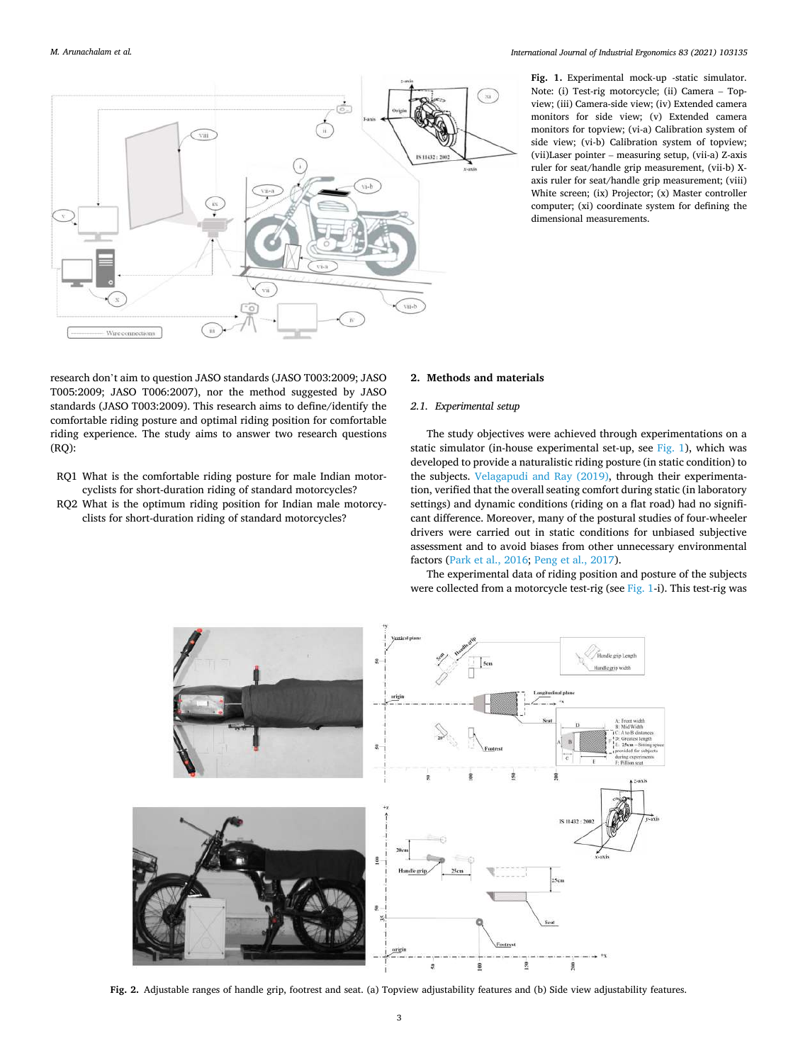<span id="page-2-0"></span>

**Fig. 1.** Experimental mock-up -static simulator. Note: (i) Test-rig motorcycle; (ii) Camera – Topview; (iii) Camera-side view; (iv) Extended camera monitors for side view; (v) Extended camera monitors for topview; (vi-a) Calibration system of side view; (vi-b) Calibration system of topview; (vii)Laser pointer – measuring setup, (vii-a) Z-axis ruler for seat/handle grip measurement, (vii-b) Xaxis ruler for seat/handle grip measurement; (viii) White screen; (ix) Projector; (x) Master controller computer; (xi) coordinate system for defining the dimensional measurements.

research don't aim to question JASO standards (JASO T003:2009; JASO T005:2009; JASO T006:2007), nor the method suggested by JASO standards (JASO T003:2009). This research aims to define/identify the comfortable riding posture and optimal riding position for comfortable riding experience. The study aims to answer two research questions (RQ):

- RQ1 What is the comfortable riding posture for male Indian motorcyclists for short-duration riding of standard motorcycles?
- RQ2 What is the optimum riding position for Indian male motorcyclists for short-duration riding of standard motorcycles?

#### **2. Methods and materials**

## *2.1. Experimental setup*

The study objectives were achieved through experimentations on a static simulator (in-house experimental set-up, see Fig. 1), which was developed to provide a naturalistic riding posture (in static condition) to the subjects. [Velagapudi and Ray \(2019\),](#page-16-0) through their experimentation, verified that the overall seating comfort during static (in laboratory settings) and dynamic conditions (riding on a flat road) had no significant difference. Moreover, many of the postural studies of four-wheeler drivers were carried out in static conditions for unbiased subjective assessment and to avoid biases from other unnecessary environmental factors ([Park et al., 2016](#page-15-0); [Peng et al., 2017\)](#page-15-0).

The experimental data of riding position and posture of the subjects were collected from a motorcycle test-rig (see Fig. 1-i). This test-rig was



**Fig. 2.** Adjustable ranges of handle grip, footrest and seat. (a) Topview adjustability features and (b) Side view adjustability features.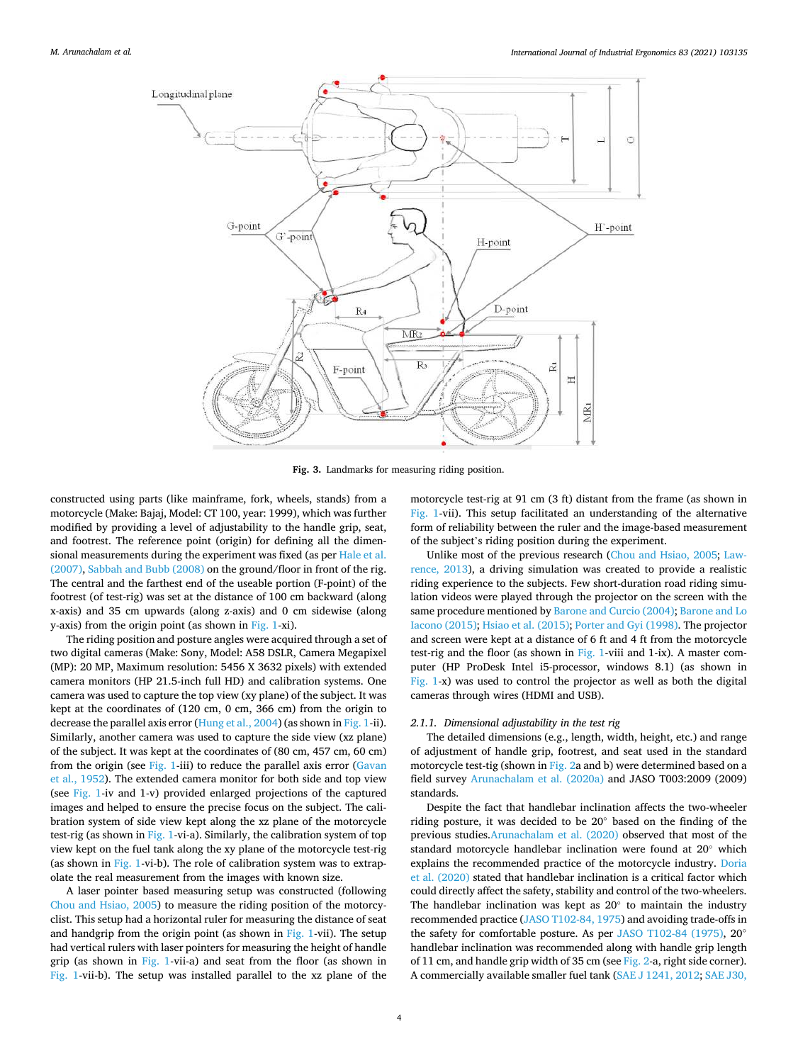<span id="page-3-0"></span>

**Fig. 3.** Landmarks for measuring riding position.

constructed using parts (like mainframe, fork, wheels, stands) from a motorcycle (Make: Bajaj, Model: CT 100, year: 1999), which was further modified by providing a level of adjustability to the handle grip, seat, and footrest. The reference point (origin) for defining all the dimensional measurements during the experiment was fixed (as per [Hale et al.](#page-15-0)  [\(2007\), Sabbah and Bubb \(2008\)](#page-15-0) on the ground/floor in front of the rig. The central and the farthest end of the useable portion (F-point) of the footrest (of test-rig) was set at the distance of 100 cm backward (along x-axis) and 35 cm upwards (along z-axis) and 0 cm sidewise (along y-axis) from the origin point (as shown in [Fig. 1-](#page-2-0)xi).

The riding position and posture angles were acquired through a set of two digital cameras (Make: Sony, Model: A58 DSLR, Camera Megapixel (MP): 20 MP, Maximum resolution: 5456 X 3632 pixels) with extended camera monitors (HP 21.5-inch full HD) and calibration systems. One camera was used to capture the top view (xy plane) of the subject. It was kept at the coordinates of (120 cm, 0 cm, 366 cm) from the origin to decrease the parallel axis error [\(Hung et al., 2004](#page-15-0)) (as shown in [Fig. 1](#page-2-0)-ii). Similarly, another camera was used to capture the side view (xz plane) of the subject. It was kept at the coordinates of (80 cm, 457 cm, 60 cm) from the origin (see [Fig. 1-](#page-2-0)iii) to reduce the parallel axis error [\(Gavan](#page-15-0)  [et al., 1952](#page-15-0)). The extended camera monitor for both side and top view (see [Fig. 1-](#page-2-0)iv and 1-v) provided enlarged projections of the captured images and helped to ensure the precise focus on the subject. The calibration system of side view kept along the xz plane of the motorcycle test-rig (as shown in [Fig. 1-](#page-2-0)vi-a). Similarly, the calibration system of top view kept on the fuel tank along the xy plane of the motorcycle test-rig (as shown in [Fig. 1](#page-2-0)-vi-b). The role of calibration system was to extrapolate the real measurement from the images with known size.

A laser pointer based measuring setup was constructed (following [Chou and Hsiao, 2005](#page-14-0)) to measure the riding position of the motorcyclist. This setup had a horizontal ruler for measuring the distance of seat and handgrip from the origin point (as shown in [Fig. 1](#page-2-0)-vii). The setup had vertical rulers with laser pointers for measuring the height of handle grip (as shown in [Fig. 1](#page-2-0)-vii-a) and seat from the floor (as shown in [Fig. 1-](#page-2-0)vii-b). The setup was installed parallel to the xz plane of the

motorcycle test-rig at 91 cm (3 ft) distant from the frame (as shown in [Fig. 1-](#page-2-0)vii). This setup facilitated an understanding of the alternative form of reliability between the ruler and the image-based measurement of the subject's riding position during the experiment.

Unlike most of the previous research ([Chou and Hsiao, 2005;](#page-14-0) [Law](#page-15-0)[rence, 2013](#page-15-0)), a driving simulation was created to provide a realistic riding experience to the subjects. Few short-duration road riding simulation videos were played through the projector on the screen with the same procedure mentioned by [Barone and Curcio \(2004\); Barone and Lo](#page-14-0)  [Iacono \(2015\)](#page-14-0); [Hsiao et al. \(2015\)](#page-15-0); [Porter and Gyi \(1998\)](#page-15-0). The projector and screen were kept at a distance of 6 ft and 4 ft from the motorcycle test-rig and the floor (as shown in [Fig. 1-](#page-2-0)viii and 1-ix). A master computer (HP ProDesk Intel i5-processor, windows 8.1) (as shown in [Fig. 1](#page-2-0)-x) was used to control the projector as well as both the digital cameras through wires (HDMI and USB).

## *2.1.1. Dimensional adjustability in the test rig*

The detailed dimensions (e.g., length, width, height, etc.) and range of adjustment of handle grip, footrest, and seat used in the standard motorcycle test-tig (shown in [Fig. 2a](#page-2-0) and b) were determined based on a field survey [Arunachalam et al. \(2020a\)](#page-14-0) and JASO T003:2009 (2009) standards.

Despite the fact that handlebar inclination affects the two-wheeler riding posture, it was decided to be 20◦ based on the finding of the previous studies[.Arunachalam et al. \(2020\)](#page-14-0) observed that most of the standard motorcycle handlebar inclination were found at 20◦ which explains the recommended practice of the motorcycle industry. [Doria](#page-15-0)  [et al. \(2020\)](#page-15-0) stated that handlebar inclination is a critical factor which could directly affect the safety, stability and control of the two-wheelers. The handlebar inclination was kept as 20◦ to maintain the industry recommended practice [\(JASO T102-84, 1975\)](#page-15-0) and avoiding trade-offs in the safety for comfortable posture. As per [JASO T102-84 \(1975\)](#page-15-0), 20° handlebar inclination was recommended along with handle grip length of 11 cm, and handle grip width of 35 cm (see [Fig. 2-](#page-2-0)a, right side corner). A commercially available smaller fuel tank ([SAE J 1241, 2012](#page-15-0); [SAE J30,](#page-15-0)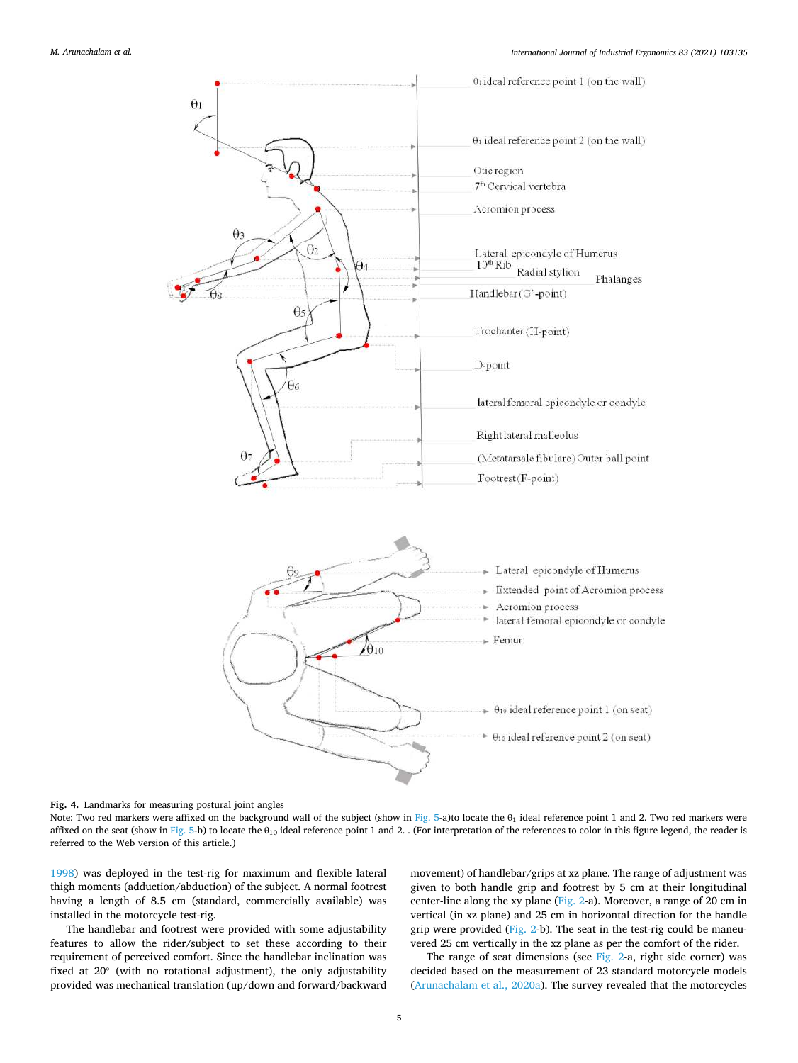<span id="page-4-0"></span>

**Fig. 4.** Landmarks for measuring postural joint angles

Note: Two red markers were affixed on the background wall of the subject (show in [Fig. 5](#page-5-0)-a)to locate the  $\theta_1$  ideal reference point 1 and 2. Two red markers were affixed on the seat (show in [Fig. 5](#page-5-0)-b) to locate the  $\theta_{10}$  ideal reference point 1 and 2. . (For interpretation of the references to color in this figure legend, the reader is referred to the Web version of this article.)

[1998\)](#page-15-0) was deployed in the test-rig for maximum and flexible lateral thigh moments (adduction/abduction) of the subject. A normal footrest having a length of 8.5 cm (standard, commercially available) was installed in the motorcycle test-rig.

The handlebar and footrest were provided with some adjustability features to allow the rider/subject to set these according to their requirement of perceived comfort. Since the handlebar inclination was fixed at 20◦ (with no rotational adjustment), the only adjustability provided was mechanical translation (up/down and forward/backward movement) of handlebar/grips at xz plane. The range of adjustment was given to both handle grip and footrest by 5 cm at their longitudinal center-line along the xy plane ([Fig. 2-](#page-2-0)a). Moreover, a range of 20 cm in vertical (in xz plane) and 25 cm in horizontal direction for the handle grip were provided [\(Fig. 2](#page-2-0)-b). The seat in the test-rig could be maneuvered 25 cm vertically in the xz plane as per the comfort of the rider.

The range of seat dimensions (see [Fig. 2-](#page-2-0)a, right side corner) was decided based on the measurement of 23 standard motorcycle models ([Arunachalam et al., 2020a\)](#page-14-0). The survey revealed that the motorcycles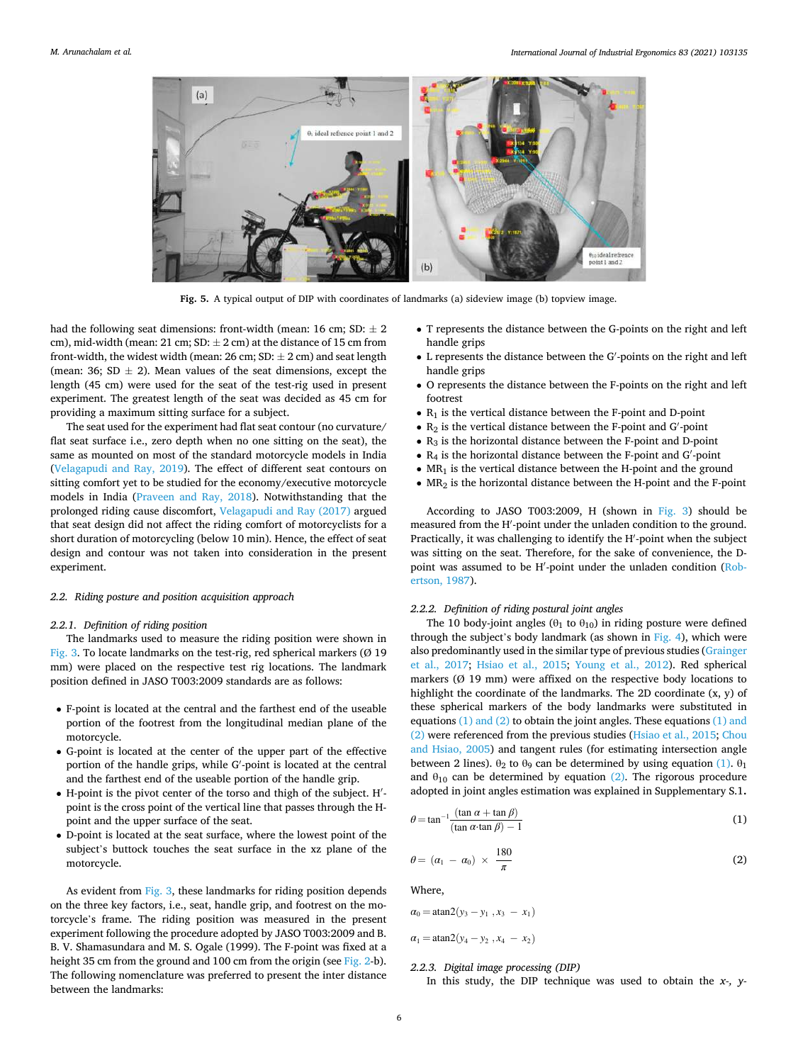<span id="page-5-0"></span>

**Fig. 5.** A typical output of DIP with coordinates of landmarks (a) sideview image (b) topview image.

had the following seat dimensions: front-width (mean: 16 cm;  $SD: \pm 2$ cm), mid-width (mean: 21 cm; SD:  $\pm$  2 cm) at the distance of 15 cm from front-width, the widest width (mean:  $26 \text{ cm}$ ;  $SD: \pm 2 \text{ cm}$ ) and seat length (mean: 36; SD  $\pm$  2). Mean values of the seat dimensions, except the length (45 cm) were used for the seat of the test-rig used in present experiment. The greatest length of the seat was decided as 45 cm for providing a maximum sitting surface for a subject.

The seat used for the experiment had flat seat contour (no curvature/ flat seat surface i.e., zero depth when no one sitting on the seat), the same as mounted on most of the standard motorcycle models in India ([Velagapudi and Ray, 2019](#page-16-0)). The effect of different seat contours on sitting comfort yet to be studied for the economy/executive motorcycle models in India ([Praveen and Ray, 2018](#page-15-0)). Notwithstanding that the prolonged riding cause discomfort, [Velagapudi and Ray \(2017\)](#page-16-0) argued that seat design did not affect the riding comfort of motorcyclists for a short duration of motorcycling (below 10 min). Hence, the effect of seat design and contour was not taken into consideration in the present experiment.

## *2.2. Riding posture and position acquisition approach*

## *2.2.1. Definition of riding position*

The landmarks used to measure the riding position were shown in [Fig. 3.](#page-3-0) To locate landmarks on the test-rig, red spherical markers  $(Ø 19)$ mm) were placed on the respective test rig locations. The landmark position defined in JASO T003:2009 standards are as follows:

- F-point is located at the central and the farthest end of the useable portion of the footrest from the longitudinal median plane of the motorcycle.
- G-point is located at the center of the upper part of the effective portion of the handle grips, while G′ -point is located at the central and the farthest end of the useable portion of the handle grip.
- H-point is the pivot center of the torso and thigh of the subject. H′ point is the cross point of the vertical line that passes through the Hpoint and the upper surface of the seat.
- D-point is located at the seat surface, where the lowest point of the subject's buttock touches the seat surface in the xz plane of the motorcycle.

As evident from [Fig. 3](#page-3-0), these landmarks for riding position depends on the three key factors, i.e., seat, handle grip, and footrest on the motorcycle's frame. The riding position was measured in the present experiment following the procedure adopted by JASO T003:2009 and B. B. V. Shamasundara and M. S. Ogale (1999). The F-point was fixed at a height 35 cm from the ground and 100 cm from the origin (see [Fig. 2](#page-2-0)-b). The following nomenclature was preferred to present the inter distance between the landmarks:

- T represents the distance between the G-points on the right and left handle grips
- L represents the distance between the G′ -points on the right and left handle grips
- O represents the distance between the F-points on the right and left footrest
- $\bullet$  R<sub>1</sub> is the vertical distance between the F-point and D-point
- $\bullet$   $\rm R_2$  is the vertical distance between the F-point and G'-point
- $\bullet$  R<sub>3</sub> is the horizontal distance between the F-point and D-point
- $\bullet$   $\rm R_4$  is the horizontal distance between the F-point and G'-point
- $MR_1$  is the vertical distance between the H-point and the ground
- $\bullet$  MR<sub>2</sub> is the horizontal distance between the H-point and the F-point

According to JASO T003:2009, H (shown in [Fig. 3\)](#page-3-0) should be measured from the H′ -point under the unladen condition to the ground. Practically, it was challenging to identify the H′ -point when the subject was sitting on the seat. Therefore, for the sake of convenience, the D-point was assumed to be H'-point under the unladen condition [\(Rob](#page-15-0)[ertson, 1987\)](#page-15-0).

## *2.2.2. Definition of riding postural joint angles*

The 10 body-joint angles ( $\theta_1$  to  $\theta_{10}$ ) in riding posture were defined through the subject's body landmark (as shown in [Fig. 4\)](#page-4-0), which were also predominantly used in the similar type of previous studies ([Grainger](#page-15-0)  [et al., 2017;](#page-15-0) [Hsiao et al., 2015](#page-15-0); [Young et al., 2012](#page-16-0)). Red spherical markers (Ø 19 mm) were affixed on the respective body locations to highlight the coordinate of the landmarks. The 2D coordinate (x, y) of these spherical markers of the body landmarks were substituted in equations (1) and (2) to obtain the joint angles. These equations (1) and (2) were referenced from the previous studies ([Hsiao et al., 2015;](#page-15-0) [Chou](#page-14-0)  [and Hsiao, 2005\)](#page-14-0) and tangent rules (for estimating intersection angle between 2 lines).  $\theta_2$  to  $\theta_9$  can be determined by using equation (1).  $\theta_1$ and  $\theta_{10}$  can be determined by equation (2). The rigorous procedure adopted in joint angles estimation was explained in Supplementary S.1**.** 

$$
\theta = \tan^{-1} \frac{(\tan \alpha + \tan \beta)}{(\tan \alpha \cdot \tan \beta) - 1}
$$
 (1)

$$
\theta = (\alpha_1 - \alpha_0) \times \frac{180}{\pi} \tag{2}
$$

Where,

$$
\alpha_0 = \text{atan2}(y_3 - y_1, x_3 - x_1)
$$
  

$$
\alpha_1 = \text{atan2}(y_4 - y_2, x_4 - x_2)
$$

#### *2.2.3. Digital image processing (DIP)*

In this study, the DIP technique was used to obtain the *x-, y-*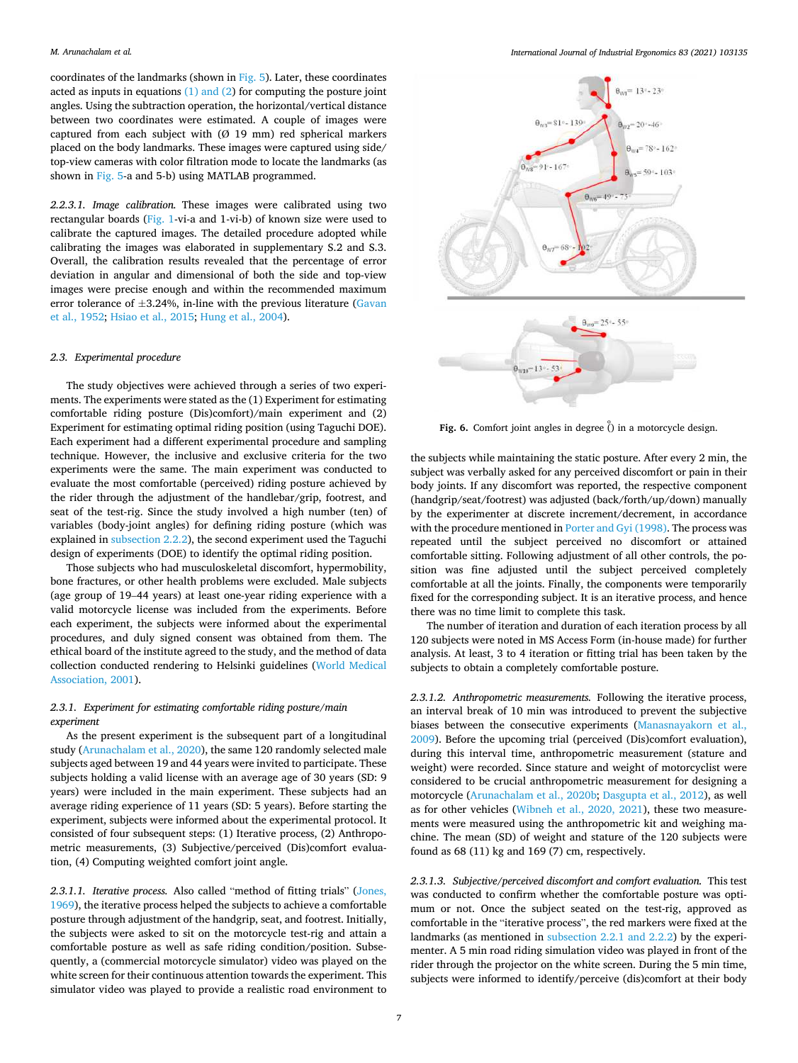#### <span id="page-6-0"></span>*M. Arunachalam et al.*

coordinates of the landmarks (shown in [Fig. 5](#page-5-0)). Later, these coordinates acted as inputs in equations  $(1)$  and  $(2)$  for computing the posture joint angles. Using the subtraction operation, the horizontal/vertical distance between two coordinates were estimated. A couple of images were captured from each subject with  $(Ø 19 mm)$  red spherical markers placed on the body landmarks. These images were captured using side/ top-view cameras with color filtration mode to locate the landmarks (as shown in [Fig. 5](#page-5-0)-a and 5-b) using MATLAB programmed.

*2.2.3.1. Image calibration.* These images were calibrated using two rectangular boards ([Fig. 1](#page-2-0)-vi-a and 1-vi-b) of known size were used to calibrate the captured images. The detailed procedure adopted while calibrating the images was elaborated in supplementary S.2 and S.3. Overall, the calibration results revealed that the percentage of error deviation in angular and dimensional of both the side and top-view images were precise enough and within the recommended maximum error tolerance of  $\pm 3.24$ %, in-line with the previous literature (Gavan [et al., 1952; Hsiao et al., 2015;](#page-15-0) [Hung et al., 2004](#page-15-0)).

## *2.3. Experimental procedure*

The study objectives were achieved through a series of two experiments. The experiments were stated as the (1) Experiment for estimating comfortable riding posture (Dis)comfort)/main experiment and (2) Experiment for estimating optimal riding position (using Taguchi DOE). Each experiment had a different experimental procedure and sampling technique. However, the inclusive and exclusive criteria for the two experiments were the same. The main experiment was conducted to evaluate the most comfortable (perceived) riding posture achieved by the rider through the adjustment of the handlebar/grip, footrest, and seat of the test-rig. Since the study involved a high number (ten) of variables (body-joint angles) for defining riding posture (which was explained in [subsection 2.2.2\)](#page-5-0), the second experiment used the Taguchi design of experiments (DOE) to identify the optimal riding position.

Those subjects who had musculoskeletal discomfort, hypermobility, bone fractures, or other health problems were excluded. Male subjects (age group of 19–44 years) at least one-year riding experience with a valid motorcycle license was included from the experiments. Before each experiment, the subjects were informed about the experimental procedures, and duly signed consent was obtained from them. The ethical board of the institute agreed to the study, and the method of data collection conducted rendering to Helsinki guidelines ([World Medical](#page-16-0)  [Association, 2001](#page-16-0)).

# *2.3.1. Experiment for estimating comfortable riding posture/main experiment*

As the present experiment is the subsequent part of a longitudinal study ([Arunachalam et al., 2020](#page-14-0)), the same 120 randomly selected male subjects aged between 19 and 44 years were invited to participate. These subjects holding a valid license with an average age of 30 years (SD: 9 years) were included in the main experiment. These subjects had an average riding experience of 11 years (SD: 5 years). Before starting the experiment, subjects were informed about the experimental protocol. It consisted of four subsequent steps: (1) Iterative process, (2) Anthropometric measurements, (3) Subjective/perceived (Dis)comfort evaluation, (4) Computing weighted comfort joint angle.

*2.3.1.1. Iterative process.* Also called "method of fitting trials" ([Jones,](#page-15-0)  [1969\)](#page-15-0), the iterative process helped the subjects to achieve a comfortable posture through adjustment of the handgrip, seat, and footrest. Initially, the subjects were asked to sit on the motorcycle test-rig and attain a comfortable posture as well as safe riding condition/position. Subsequently, a (commercial motorcycle simulator) video was played on the white screen for their continuous attention towards the experiment. This simulator video was played to provide a realistic road environment to



Fig. 6. Comfort joint angles in degree  $\hat{()}$  in a motorcycle design.

the subjects while maintaining the static posture. After every 2 min, the subject was verbally asked for any perceived discomfort or pain in their body joints. If any discomfort was reported, the respective component (handgrip/seat/footrest) was adjusted (back/forth/up/down) manually by the experimenter at discrete increment/decrement, in accordance with the procedure mentioned in [Porter and Gyi \(1998\).](#page-15-0) The process was repeated until the subject perceived no discomfort or attained comfortable sitting. Following adjustment of all other controls, the position was fine adjusted until the subject perceived completely comfortable at all the joints. Finally, the components were temporarily fixed for the corresponding subject. It is an iterative process, and hence there was no time limit to complete this task.

The number of iteration and duration of each iteration process by all 120 subjects were noted in MS Access Form (in-house made) for further analysis. At least, 3 to 4 iteration or fitting trial has been taken by the subjects to obtain a completely comfortable posture.

*2.3.1.2. Anthropometric measurements.* Following the iterative process, an interval break of 10 min was introduced to prevent the subjective biases between the consecutive experiments [\(Manasnayakorn et al.,](#page-15-0)  [2009\)](#page-15-0). Before the upcoming trial (perceived (Dis)comfort evaluation), during this interval time, anthropometric measurement (stature and weight) were recorded. Since stature and weight of motorcyclist were considered to be crucial anthropometric measurement for designing a motorcycle [\(Arunachalam et al., 2020b](#page-14-0); [Dasgupta et al., 2012](#page-14-0)), as well as for other vehicles ([Wibneh et al., 2020, 2021](#page-16-0)), these two measurements were measured using the anthropometric kit and weighing machine. The mean (SD) of weight and stature of the 120 subjects were found as 68 (11) kg and 169 (7) cm, respectively.

*2.3.1.3. Subjective/perceived discomfort and comfort evaluation.* This test was conducted to confirm whether the comfortable posture was optimum or not. Once the subject seated on the test-rig, approved as comfortable in the "iterative process", the red markers were fixed at the landmarks (as mentioned in [subsection 2.2.1 and 2.2.2](#page-5-0)) by the experimenter. A 5 min road riding simulation video was played in front of the rider through the projector on the white screen. During the 5 min time, subjects were informed to identify/perceive (dis)comfort at their body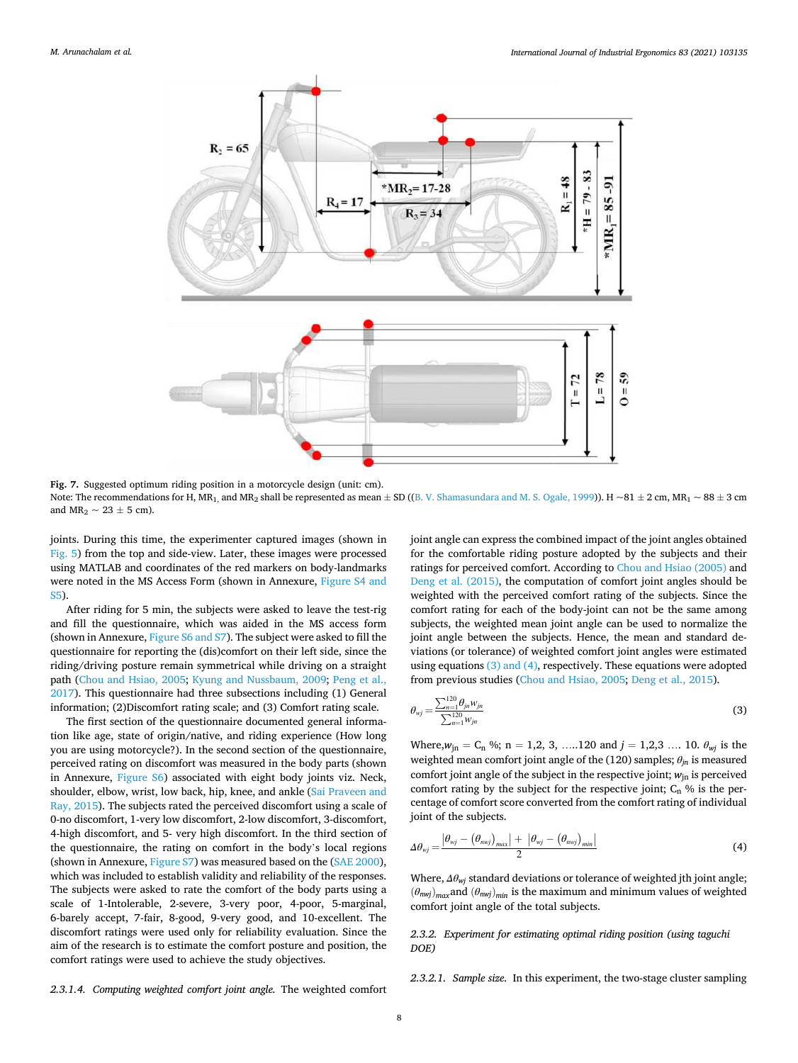<span id="page-7-0"></span>

**Fig. 7.** Suggested optimum riding position in a motorcycle design (unit: cm). Note: The recommendations for H, MR<sub>1</sub>, and MR<sub>2</sub> shall be represented as mean  $\pm$  SD (([B. V. Shamasundara and M. S. Ogale, 1999\)](#page-15-0)). H ~81  $\pm$  2 cm, MR<sub>1</sub> ~ 88  $\pm$  3 cm and  $MR_2 \sim 23 \pm 5$  cm).

joints. During this time, the experimenter captured images (shown in [Fig. 5\)](#page-5-0) from the top and side-view. Later, these images were processed using MATLAB and coordinates of the red markers on body-landmarks were noted in the MS Access Form (shown in Annexure, [Figure S4 and](#page-4-0)  [S5](#page-4-0)).

After riding for 5 min, the subjects were asked to leave the test-rig and fill the questionnaire, which was aided in the MS access form (shown in Annexure, [Figure S6 and S7](#page-6-0)). The subject were asked to fill the questionnaire for reporting the (dis)comfort on their left side, since the riding/driving posture remain symmetrical while driving on a straight path [\(Chou and Hsiao, 2005;](#page-14-0) [Kyung and Nussbaum, 2009;](#page-15-0) [Peng et al.,](#page-15-0)  [2017\)](#page-15-0). This questionnaire had three subsections including (1) General information; (2)Discomfort rating scale; and (3) Comfort rating scale.

The first section of the questionnaire documented general information like age, state of origin/native, and riding experience (How long you are using motorcycle?). In the second section of the questionnaire, perceived rating on discomfort was measured in the body parts (shown in Annexure, [Figure S6](#page-6-0)) associated with eight body joints viz. Neck, shoulder, elbow, wrist, low back, hip, knee, and ankle [\(Sai Praveen and](#page-15-0)  [Ray, 2015](#page-15-0)). The subjects rated the perceived discomfort using a scale of 0-no discomfort, 1-very low discomfort, 2-low discomfort, 3-discomfort, 4-high discomfort, and 5- very high discomfort. In the third section of the questionnaire, the rating on comfort in the body's local regions (shown in Annexure, Figure S7) was measured based on the ([SAE 2000](#page-15-0)), which was included to establish validity and reliability of the responses. The subjects were asked to rate the comfort of the body parts using a scale of 1-Intolerable, 2-severe, 3-very poor, 4-poor, 5-marginal, 6-barely accept, 7-fair, 8-good, 9-very good, and 10-excellent. The discomfort ratings were used only for reliability evaluation. Since the aim of the research is to estimate the comfort posture and position, the comfort ratings were used to achieve the study objectives.

joint angle can express the combined impact of the joint angles obtained for the comfortable riding posture adopted by the subjects and their ratings for perceived comfort. According to [Chou and Hsiao \(2005\)](#page-14-0) and [Deng et al. \(2015\)](#page-15-0), the computation of comfort joint angles should be weighted with the perceived comfort rating of the subjects. Since the comfort rating for each of the body-joint can not be the same among subjects, the weighted mean joint angle can be used to normalize the joint angle between the subjects. Hence, the mean and standard deviations (or tolerance) of weighted comfort joint angles were estimated using equations (3) and (4), respectively. These equations were adopted from previous studies [\(Chou and Hsiao, 2005;](#page-14-0) [Deng et al., 2015](#page-15-0)).

$$
\theta_{wj} = \frac{\sum_{n=1}^{120} \theta_{jn} w_{jn}}{\sum_{n=1}^{120} w_{jn}}
$$
\n(3)

Where, $w_{in} = C_n$  %; n = 1,2, 3, ....120 and  $j = 1,2,3$  .... 10.  $\theta_{wi}$  is the weighted mean comfort joint angle of the (120) samples; *θjn* is measured comfort joint angle of the subject in the respective joint;  $w_{in}$  is perceived comfort rating by the subject for the respective joint;  $C_n$  % is the percentage of comfort score converted from the comfort rating of individual joint of the subjects.

$$
\Delta\theta_{wj} = \frac{\left|\theta_{wj} - \left(\theta_{mvj}\right)_{max}\right| + \left|\theta_{wj} - \left(\theta_{mvj}\right)_{min}\right|}{2} \tag{4}
$$

Where, *Δθwj* standard deviations or tolerance of weighted jth joint angle;  $(\theta_{nwi})_{max}$ and  $(\theta_{nwi})_{min}$  is the maximum and minimum values of weighted comfort joint angle of the total subjects.

*2.3.2. Experiment for estimating optimal riding position (using taguchi DOE)* 

*2.3.2.1. Sample size.* In this experiment, the two-stage cluster sampling

*2.3.1.4. Computing weighted comfort joint angle.* The weighted comfort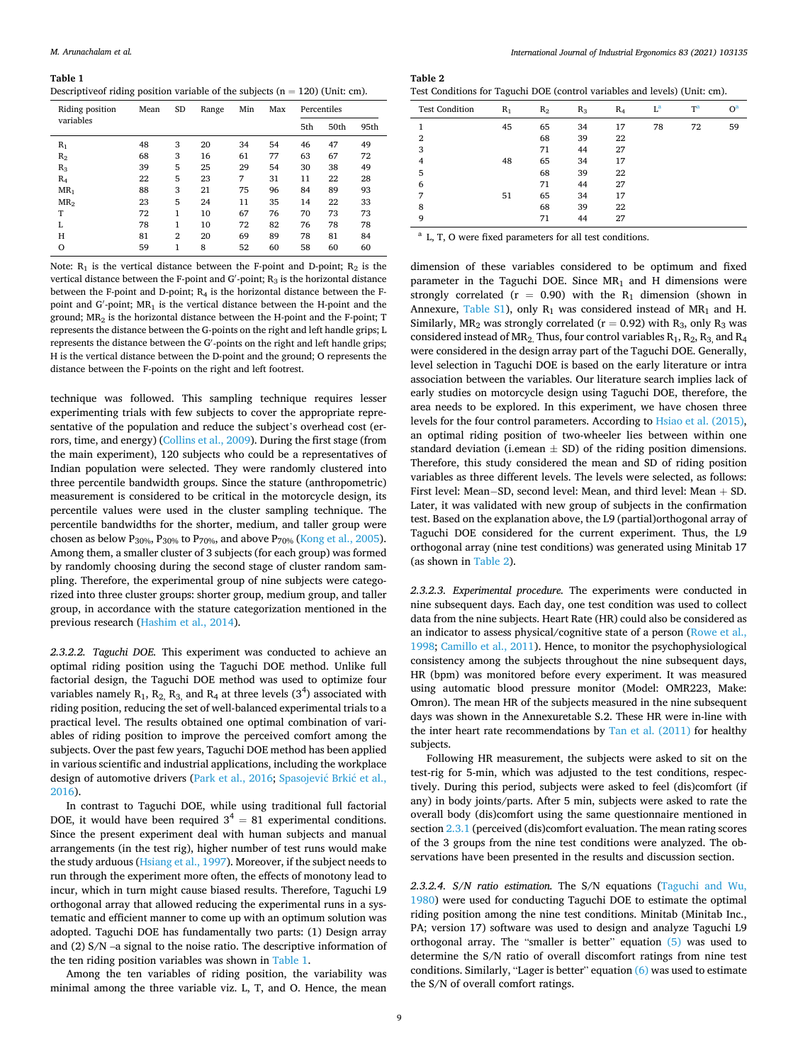**Table 1** 

Descriptive of riding position variable of the subjects  $(n = 120)$  (Unit: cm).

| Riding position | Mean | <b>SD</b>      | Range | Min | Max | Percentiles |      |      |  |
|-----------------|------|----------------|-------|-----|-----|-------------|------|------|--|
| variables       |      |                |       |     |     | 5th         | 50th | 95th |  |
| $R_1$           | 48   | 3              | 20    | 34  | 54  | 46          | 47   | 49   |  |
| R <sub>2</sub>  | 68   | 3              | 16    | 61  | 77  | 63          | 67   | 72   |  |
| $R_3$           | 39   | 5              | 25    | 29  | 54  | 30          | 38   | 49   |  |
| $R_4$           | 22   | 5              | 23    | 7   | 31  | 11          | 22   | 28   |  |
| $MR_1$          | 88   | 3              | 21    | 75  | 96  | 84          | 89   | 93   |  |
| MR <sub>2</sub> | 23   | 5              | 24    | 11  | 35  | 14          | 22   | 33   |  |
| T               | 72   | 1              | 10    | 67  | 76  | 70          | 73   | 73   |  |
| L               | 78   | 1              | 10    | 72  | 82  | 76          | 78   | 78   |  |
| H               | 81   | $\overline{2}$ | 20    | 69  | 89  | 78          | 81   | 84   |  |
| $\circ$         | 59   | 1              | 8     | 52  | 60  | 58          | 60   | 60   |  |

Note:  $R_1$  is the vertical distance between the F-point and D-point;  $R_2$  is the vertical distance between the F-point and G'-point;  $R_3$  is the horizontal distance between the F-point and D-point; R4 is the horizontal distance between the Fpoint and G′ -point; MR1 is the vertical distance between the H-point and the ground; MR2 is the horizontal distance between the H-point and the F-point; T represents the distance between the G-points on the right and left handle grips; L represents the distance between the G′ -points on the right and left handle grips; H is the vertical distance between the D-point and the ground; O represents the distance between the F-points on the right and left footrest.

technique was followed. This sampling technique requires lesser experimenting trials with few subjects to cover the appropriate representative of the population and reduce the subject's overhead cost (errors, time, and energy) ([Collins et al., 2009\)](#page-14-0). During the first stage (from the main experiment), 120 subjects who could be a representatives of Indian population were selected. They were randomly clustered into three percentile bandwidth groups. Since the stature (anthropometric) measurement is considered to be critical in the motorcycle design, its percentile values were used in the cluster sampling technique. The percentile bandwidths for the shorter, medium, and taller group were chosen as below P<sub>30%</sub>, P<sub>30%</sub> to P<sub>70%</sub>, and above P<sub>70%</sub> [\(Kong et al., 2005](#page-15-0)). Among them, a smaller cluster of 3 subjects (for each group) was formed by randomly choosing during the second stage of cluster random sampling. Therefore, the experimental group of nine subjects were categorized into three cluster groups: shorter group, medium group, and taller group, in accordance with the stature categorization mentioned in the previous research [\(Hashim et al., 2014\)](#page-15-0).

*2.3.2.2. Taguchi DOE.* This experiment was conducted to achieve an optimal riding position using the Taguchi DOE method. Unlike full factorial design, the Taguchi DOE method was used to optimize four variables namely  $R_1$ ,  $R_2$ ,  $R_3$ , and  $R_4$  at three levels  $(3^4)$  associated with riding position, reducing the set of well-balanced experimental trials to a practical level. The results obtained one optimal combination of variables of riding position to improve the perceived comfort among the subjects. Over the past few years, Taguchi DOE method has been applied in various scientific and industrial applications, including the workplace design of automotive drivers ([Park et al., 2016;](#page-15-0) [Spasojevi](#page-15-0)ć Brkić et al., [2016\)](#page-15-0).

In contrast to Taguchi DOE, while using traditional full factorial DOE, it would have been required  $3^4 = 81$  experimental conditions. Since the present experiment deal with human subjects and manual arrangements (in the test rig), higher number of test runs would make the study arduous [\(Hsiang et al., 1997](#page-15-0)). Moreover, if the subject needs to run through the experiment more often, the effects of monotony lead to incur, which in turn might cause biased results. Therefore, Taguchi L9 orthogonal array that allowed reducing the experimental runs in a systematic and efficient manner to come up with an optimum solution was adopted. Taguchi DOE has fundamentally two parts: (1) Design array and (2) S/N –a signal to the noise ratio. The descriptive information of the ten riding position variables was shown in Table 1.

Among the ten variables of riding position, the variability was minimal among the three variable viz. L, T, and O. Hence, the mean

| Table 2                                                                    |  |  |
|----------------------------------------------------------------------------|--|--|
| Test Conditions for Taguchi DOE (control variables and levels) (Unit: cm). |  |  |

|                       | -     |       |       |       |       |                |       |
|-----------------------|-------|-------|-------|-------|-------|----------------|-------|
| <b>Test Condition</b> | $R_1$ | $R_2$ | $R_3$ | $R_4$ | $L^a$ | T <sup>a</sup> | $O^a$ |
| 1                     | 45    | 65    | 34    | 17    | 78    | 72             | 59    |
| $\overline{2}$        |       | 68    | 39    | 22    |       |                |       |
| 3                     |       | 71    | 44    | 27    |       |                |       |
| $\overline{4}$        | 48    | 65    | 34    | 17    |       |                |       |
| 5                     |       | 68    | 39    | 22    |       |                |       |
| 6                     |       | 71    | 44    | 27    |       |                |       |
| 7                     | 51    | 65    | 34    | 17    |       |                |       |
| 8                     |       | 68    | 39    | 22    |       |                |       |
| 9                     |       | 71    | 44    | 27    |       |                |       |

a L, T, O were fixed parameters for all test conditions.

dimension of these variables considered to be optimum and fixed parameter in the Taguchi DOE. Since  $MR_1$  and H dimensions were strongly correlated ( $r = 0.90$ ) with the R<sub>1</sub> dimension (shown in Annexure, Table  $S1$ ), only R<sub>1</sub> was considered instead of MR<sub>1</sub> and H. Similarly,  $MR_2$  was strongly correlated ( $r = 0.92$ ) with  $R_3$ , only  $R_3$  was considered instead of MR<sub>2</sub>. Thus, four control variables  $R_1$ ,  $R_2$ ,  $R_3$ , and  $R_4$ were considered in the design array part of the Taguchi DOE. Generally, level selection in Taguchi DOE is based on the early literature or intra association between the variables. Our literature search implies lack of early studies on motorcycle design using Taguchi DOE, therefore, the area needs to be explored. In this experiment, we have chosen three levels for the four control parameters. According to [Hsiao et al. \(2015\)](#page-15-0), an optimal riding position of two-wheeler lies between within one standard deviation (i.emean  $\pm$  SD) of the riding position dimensions. Therefore, this study considered the mean and SD of riding position variables as three different levels. The levels were selected, as follows: First level: Mean−SD, second level: Mean, and third level: Mean + SD. Later, it was validated with new group of subjects in the confirmation test. Based on the explanation above, the L9 (partial)orthogonal array of Taguchi DOE considered for the current experiment. Thus, the L9 orthogonal array (nine test conditions) was generated using Minitab 17 (as shown in Table 2).

*2.3.2.3. Experimental procedure.* The experiments were conducted in nine subsequent days. Each day, one test condition was used to collect data from the nine subjects. Heart Rate (HR) could also be considered as an indicator to assess physical/cognitive state of a person ([Rowe et al.,](#page-15-0)  [1998;](#page-15-0) [Camillo et al., 2011\)](#page-14-0). Hence, to monitor the psychophysiological consistency among the subjects throughout the nine subsequent days, HR (bpm) was monitored before every experiment. It was measured using automatic blood pressure monitor (Model: OMR223, Make: Omron). The mean HR of the subjects measured in the nine subsequent days was shown in the Annexuretable S.2. These HR were in-line with the inter heart rate recommendations by [Tan et al. \(2011\)](#page-16-0) for healthy subjects.

Following HR measurement, the subjects were asked to sit on the test-rig for 5-min, which was adjusted to the test conditions, respectively. During this period, subjects were asked to feel (dis)comfort (if any) in body joints/parts. After 5 min, subjects were asked to rate the overall body (dis)comfort using the same questionnaire mentioned in section [2.3.1](#page-6-0) (perceived (dis)comfort evaluation. The mean rating scores of the 3 groups from the nine test conditions were analyzed. The observations have been presented in the results and discussion section.

*2.3.2.4. S/N ratio estimation.* The S/N equations ([Taguchi and Wu,](#page-15-0)  [1980\)](#page-15-0) were used for conducting Taguchi DOE to estimate the optimal riding position among the nine test conditions. Minitab (Minitab Inc., PA; version 17) software was used to design and analyze Taguchi L9 orthogonal array. The "smaller is better" equation [\(5\)](#page-9-0) was used to determine the S/N ratio of overall discomfort ratings from nine test conditions. Similarly, "Lager is better" equation [\(6\)](#page-9-0) was used to estimate the S/N of overall comfort ratings.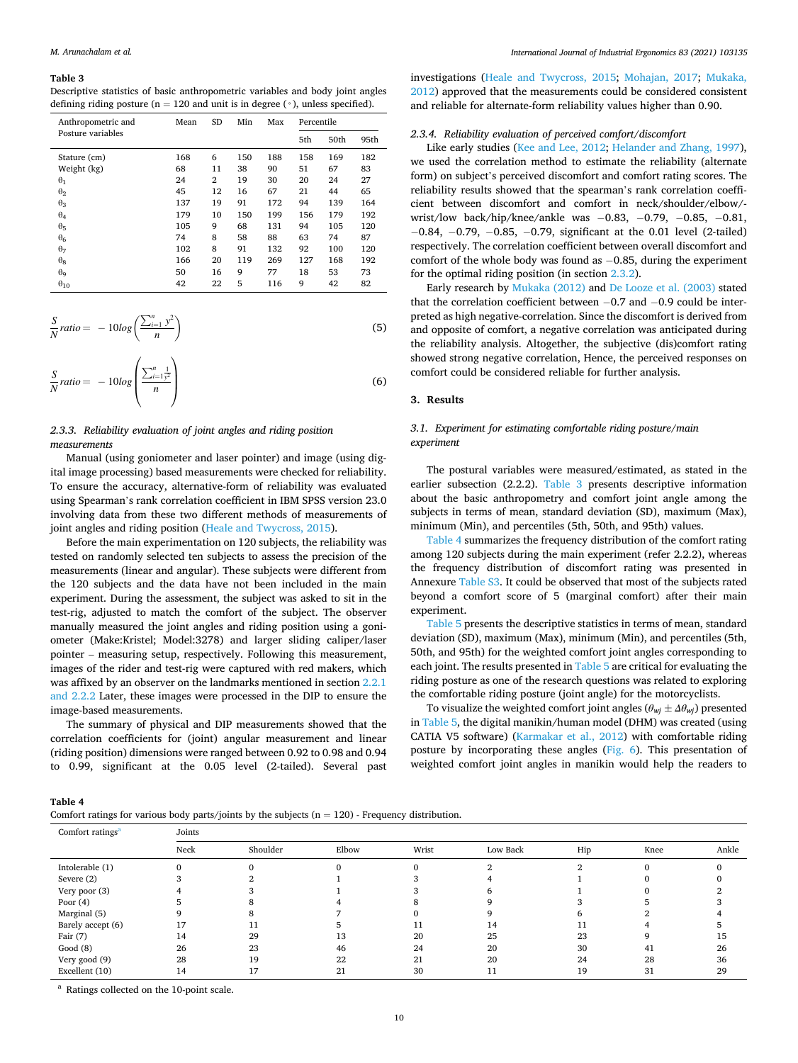#### <span id="page-9-0"></span>**Table 3**

| Descriptive statistics of basic anthropometric variables and body joint angles            |
|-------------------------------------------------------------------------------------------|
| defining riding posture ( $n = 120$ and unit is in degree ( $\circ$ ), unless specified). |

| Anthropometric and | Mean | <b>SD</b>      |     | Max |     | Percentile |      |  |  |  |
|--------------------|------|----------------|-----|-----|-----|------------|------|--|--|--|
| Posture variables  |      |                |     |     | 5th | 50th       | 95th |  |  |  |
| Stature (cm)       | 168  | 6              | 150 | 188 | 158 | 169        | 182  |  |  |  |
| Weight (kg)        | 68   | 11             | 38  | 90  | 51  | 67         | 83   |  |  |  |
| $\theta_1$         | 24   | $\overline{2}$ | 19  | 30  | 20  | 24         | 27   |  |  |  |
| $\theta_2$         | 45   | 12<br>67<br>16 |     | 21  | 44  | 65         |      |  |  |  |
| $\theta_3$         | 137  | 19             | 91  | 172 | 94  | 139        | 164  |  |  |  |
| $\theta_4$         | 179  | 10             | 150 | 199 | 156 | 179        | 192  |  |  |  |
| $\theta_5$         | 105  | 9              | 68  | 131 | 94  | 105        | 120  |  |  |  |
| $\theta_6$         | 74   | 8              | 58  | 88  | 63  | 74         | 87   |  |  |  |
| $\theta$           | 102  | 8              | 91  | 132 | 92  | 100        | 120  |  |  |  |
| $\theta_8$         | 166  | 20             | 119 | 269 | 127 | 168        | 192  |  |  |  |
| $\theta_{9}$       | 50   | 16             | 9   | 77  | 18  | 53         | 73   |  |  |  |
| $\theta_{10}$      | 42   | 22             | 5   | 116 | 9   | 42         | 82   |  |  |  |

$$
\frac{S}{N} ratio = -10log\left(\frac{\sum_{i=1}^{n} y^2}{n}\right)
$$
\n(5)

$$
\frac{S}{N}\text{ratio} = -10\log\left(\frac{\sum_{i=1}^{n}\frac{1}{y^2}}{n}\right) \tag{6}
$$

# *2.3.3. Reliability evaluation of joint angles and riding position measurements*

Manual (using goniometer and laser pointer) and image (using digital image processing) based measurements were checked for reliability. To ensure the accuracy, alternative-form of reliability was evaluated using Spearman's rank correlation coefficient in IBM SPSS version 23.0 involving data from these two different methods of measurements of joint angles and riding position ([Heale and Twycross, 2015\)](#page-15-0).

Before the main experimentation on 120 subjects, the reliability was tested on randomly selected ten subjects to assess the precision of the measurements (linear and angular). These subjects were different from the 120 subjects and the data have not been included in the main experiment. During the assessment, the subject was asked to sit in the test-rig, adjusted to match the comfort of the subject. The observer manually measured the joint angles and riding position using a goniometer (Make:Kristel; Model:3278) and larger sliding caliper/laser pointer – measuring setup, respectively. Following this measurement, images of the rider and test-rig were captured with red makers, which was affixed by an observer on the landmarks mentioned in section [2.2.1](#page-5-0)  [and 2.2.2](#page-5-0) Later, these images were processed in the DIP to ensure the image-based measurements.

The summary of physical and DIP measurements showed that the correlation coefficients for (joint) angular measurement and linear (riding position) dimensions were ranged between 0.92 to 0.98 and 0.94 to 0.99, significant at the 0.05 level (2-tailed). Several past

investigations [\(Heale and Twycross, 2015](#page-15-0); [Mohajan, 2017](#page-15-0); [Mukaka,](#page-15-0)  [2012\)](#page-15-0) approved that the measurements could be considered consistent and reliable for alternate-form reliability values higher than 0.90.

## *2.3.4. Reliability evaluation of perceived comfort/discomfort*

Like early studies [\(Kee and Lee, 2012](#page-15-0); [Helander and Zhang, 1997](#page-15-0)), we used the correlation method to estimate the reliability (alternate form) on subject's perceived discomfort and comfort rating scores. The reliability results showed that the spearman's rank correlation coefficient between discomfort and comfort in neck/shoulder/elbow/ wrist/low back/hip/knee/ankle was −0.83, −0.79, −0.85, −0.81, −0.84, −0.79, −0.85, −0.79, significant at the 0.01 level (2-tailed) respectively. The correlation coefficient between overall discomfort and comfort of the whole body was found as −0.85, during the experiment for the optimal riding position (in section [2.3.2\)](#page-7-0).

Early research by [Mukaka \(2012\)](#page-15-0) and [De Looze et al. \(2003\)](#page-15-0) stated that the correlation coefficient between −0.7 and −0.9 could be interpreted as high negative-correlation. Since the discomfort is derived from and opposite of comfort, a negative correlation was anticipated during the reliability analysis. Altogether, the subjective (dis)comfort rating showed strong negative correlation, Hence, the perceived responses on comfort could be considered reliable for further analysis.

## **3. Results**

# *3.1. Experiment for estimating comfortable riding posture/main experiment*

The postural variables were measured/estimated, as stated in the earlier subsection (2.2.2). Table 3 presents descriptive information about the basic anthropometry and comfort joint angle among the subjects in terms of mean, standard deviation (SD), maximum (Max), minimum (Min), and percentiles (5th, 50th, and 95th) values.

Table 4 summarizes the frequency distribution of the comfort rating among 120 subjects during the main experiment (refer 2.2.2), whereas the frequency distribution of discomfort rating was presented in Annexure Table S3. It could be observed that most of the subjects rated beyond a comfort score of 5 (marginal comfort) after their main experiment.

[Table 5](#page-10-0) presents the descriptive statistics in terms of mean, standard deviation (SD), maximum (Max), minimum (Min), and percentiles (5th, 50th, and 95th) for the weighted comfort joint angles corresponding to each joint. The results presented in [Table 5](#page-10-0) are critical for evaluating the riding posture as one of the research questions was related to exploring the comfortable riding posture (joint angle) for the motorcyclists.

To visualize the weighted comfort joint angles ( $\theta_{wi} \pm \Delta \theta_{wi}$ ) presented in [Table 5](#page-10-0), the digital manikin/human model (DHM) was created (using CATIA V5 software) ([Karmakar et al., 2012](#page-15-0)) with comfortable riding posture by incorporating these angles ([Fig. 6\)](#page-6-0). This presentation of weighted comfort joint angles in manikin would help the readers to

# **Table 4**

|  | Comfort ratings for various body parts/joints by the subjects $(n = 120)$ - Frequency distribution. |
|--|-----------------------------------------------------------------------------------------------------|
|--|-----------------------------------------------------------------------------------------------------|

| Joints |          |       |       |          |     |          |       |
|--------|----------|-------|-------|----------|-----|----------|-------|
| Neck   | Shoulder | Elbow | Wrist | Low Back | Hip | Knee     | Ankle |
|        |          |       | 0     |          |     | $\Omega$ |       |
|        |          |       |       |          |     |          |       |
|        |          |       |       |          |     |          |       |
|        |          |       |       |          |     |          |       |
|        |          |       |       |          |     |          |       |
| 17     | 11       |       | 11    | 14       | 11  |          |       |
| 14     | 29       | 13    | 20    | 25       | 23  |          | 15    |
| 26     | 23       | 46    | 24    | 20       | 30  | 41       | 26    |
| 28     | 19       | 22    | 21    | 20       | 24  | 28       | 36    |
| 14     |          | 21    | 30    | 11       | 19  | 31       | 29    |
|        |          |       |       |          |     |          |       |

<sup>a</sup> Ratings collected on the 10-point scale.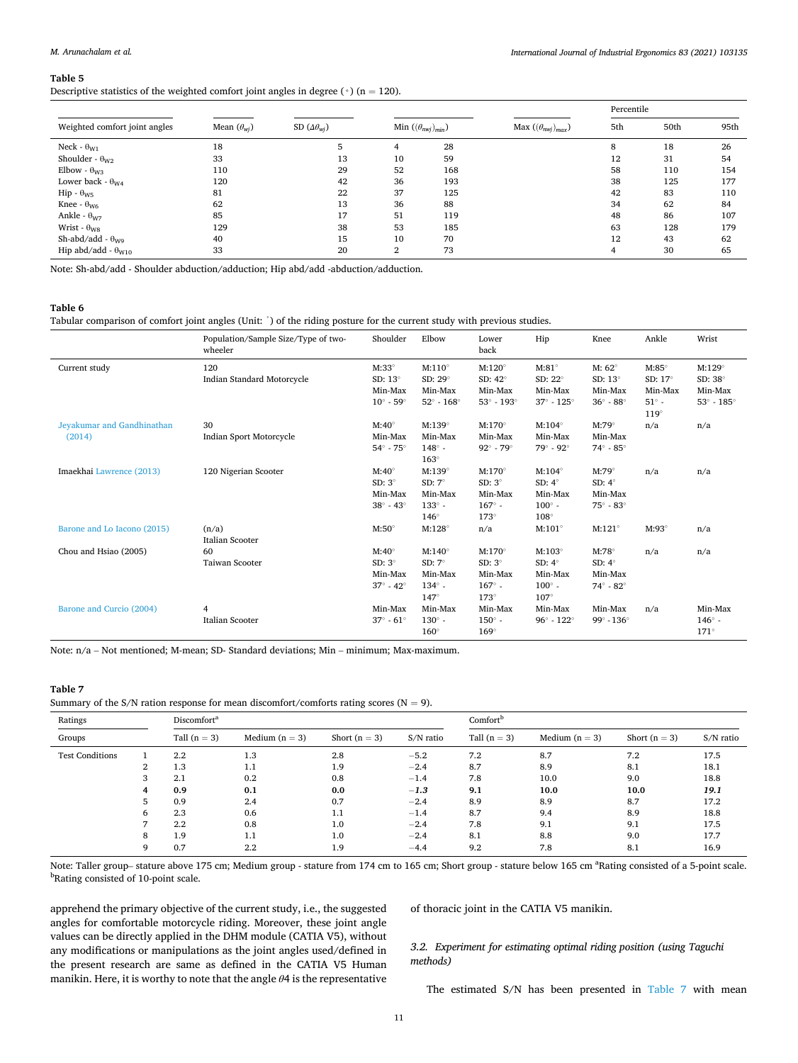## *International Journal of Industrial Ergonomics 83 (2021) 103135*

## <span id="page-10-0"></span>**Table 5**

# Descriptive statistics of the weighted comfort joint angles in degree (◦) (n = 120).

|                                       |                      |                           |                              |     |                                            | Percentile |      |      |  |  |
|---------------------------------------|----------------------|---------------------------|------------------------------|-----|--------------------------------------------|------------|------|------|--|--|
| Weighted comfort joint angles         | Mean $(\theta_{wi})$ | SD $(\Delta \theta_{wi})$ | Min $((\theta_{nwi})_{min})$ |     | Max $((\theta_{n\text{w}j})_{\text{max}})$ | 5th        | 50th | 95th |  |  |
| Neck - $\theta_{W1}$                  | 18                   |                           | 4                            | 28  |                                            | 8          | 18   | 26   |  |  |
| Shoulder - $\theta_{W2}$              | 33                   | 13                        | 10                           | 59  |                                            | 12         | 31   | 54   |  |  |
| Elbow - $\theta_{\rm W3}$             | 110                  | 29                        | 52                           | 168 |                                            | 58         | 110  | 154  |  |  |
| Lower back - $\theta_{W4}$            | 120                  | 42                        | 36                           | 193 |                                            | 38         | 125  | 177  |  |  |
| $\text{Hip} \cdot \theta_{\text{W5}}$ | 81                   | 22                        | 37                           | 125 |                                            | 42         | 83   | 110  |  |  |
| Knee - $\theta_{\text{W6}}$           | 62                   | 13                        | 36                           | 88  |                                            | 34         | 62   | 84   |  |  |
| Ankle - $\theta_{\rm W7}$             | 85                   | 17                        | 51                           | 119 |                                            | 48         | 86   | 107  |  |  |
| Wrist - $\theta_{\rm WS}$             | 129                  | 38                        | 53                           | 185 |                                            | 63         | 128  | 179  |  |  |
| Sh-abd/add - $\theta_{\text{WQ}}$     | 40                   | 15                        | 10                           | 70  |                                            | 12         | 43   | 62   |  |  |
| Hip abd/add - $\theta_{W10}$          | 33                   | 20                        | $\mathbf{2}$                 | 73  |                                            | 4          | 30   | 65   |  |  |

Note: Sh-abd/add - Shoulder abduction/adduction; Hip abd/add -abduction/adduction.

## **Table 6**

Tabular comparison of comfort joint angles (Unit: ˚) of the riding posture for the current study with previous studies.

|                                      | Population/Sample Size/Type of two-<br>wheeler | Shoulder                                                                    | Elbow                                                                     | Lower<br>back                                                               | Hip                                                                       | Knee                                                                  | Ankle                                                                    | Wrist                                                                  |
|--------------------------------------|------------------------------------------------|-----------------------------------------------------------------------------|---------------------------------------------------------------------------|-----------------------------------------------------------------------------|---------------------------------------------------------------------------|-----------------------------------------------------------------------|--------------------------------------------------------------------------|------------------------------------------------------------------------|
| Current study                        | 120<br>Indian Standard Motorcycle              | $M:33^{\circ}$<br>SD: $13^\circ$<br>Min-Max<br>$10^{\circ}$ - 59 $^{\circ}$ | $M:110^\circ$<br>SD: $29^\circ$<br>Min-Max<br>$52^\circ$ - $168^\circ$    | $M:120^\circ$<br>SD: $42^\circ$<br>Min-Max<br>$53^\circ$ - $193^\circ$      | $M:81^\circ$<br>SD: 22°<br>Min-Max<br>$37^\circ \cdot 125^\circ$          | M: $62^\circ$<br>SD: $13^\circ$<br>Min-Max<br>$36^\circ$ - $88^\circ$ | $M:85^\circ$<br>SD: $17^\circ$<br>Min-Max<br>$51^\circ$ -<br>$119^\circ$ | $M:129^\circ$<br>SD: $38^\circ$<br>Min-Max<br>$53^\circ$ - $185^\circ$ |
| Jeyakumar and Gandhinathan<br>(2014) | 30<br>Indian Sport Motorcycle                  | $M:40^\circ$<br>Min-Max<br>$54^\circ$ - $75^\circ$                          | $M:139^\circ$<br>Min-Max<br>$148^\circ$ -<br>$163^\circ$                  | $M:170^\circ$<br>Min-Max<br>$92^{\circ}$ - $79^{\circ}$                     | $M:104^{\circ}$<br>Min-Max<br>$79^\circ$ - $92^\circ$                     | $M:79^\circ$<br>Min-Max<br>$74^\circ - 85^\circ$                      | n/a                                                                      | n/a                                                                    |
| Imaekhai Lawrence (2013)             | 120 Nigerian Scooter                           | $M:40^\circ$<br>$SD: 3^\circ$<br>Min-Max<br>$38^\circ$ - $43^\circ$         | $M:139^\circ$<br>SD: $7^\circ$<br>Min-Max<br>$133^\circ$ -<br>$146^\circ$ | $M:170^\circ$<br>$SD: 3^{\circ}$<br>Min-Max<br>$167^\circ$ -<br>$173^\circ$ | $M:104^\circ$<br>SD: $4^\circ$<br>Min-Max<br>$100^\circ$ -<br>$108^\circ$ | $M:79^\circ$<br>SD: $4^\circ$<br>Min-Max<br>$75^\circ$ - $83^\circ$   | n/a                                                                      | n/a                                                                    |
| Barone and Lo Iacono (2015)          | (n/a)<br>Italian Scooter                       | $M:50^\circ$                                                                | $M:128^\circ$                                                             | n/a                                                                         | $M:101^{\circ}$                                                           | $M:121^{\circ}$                                                       | $M:93^\circ$                                                             | n/a                                                                    |
| Chou and Hsiao (2005)                | 60<br>Taiwan Scooter                           | $M:40^\circ$<br>$SD: 3^\circ$<br>Min-Max<br>$37^\circ$ - $42^\circ$         | $M:140^\circ$<br>SD: $7^\circ$<br>Min-Max<br>$134^\circ$ -<br>147°        | $M:170^\circ$<br>$SD: 3^{\circ}$<br>Min-Max<br>$167^\circ$ -<br>$173^\circ$ | $M:103^\circ$<br>SD: $4^\circ$<br>Min-Max<br>$100^\circ$ -<br>$107^\circ$ | $M:78^\circ$<br>SD: $4^\circ$<br>Min-Max<br>$74^\circ - 82^\circ$     | n/a                                                                      | n/a                                                                    |
| Barone and Curcio (2004)             | $\overline{4}$<br>Italian Scooter              | Min-Max<br>$37^\circ$ - $61^\circ$                                          | Min-Max<br>$130^\circ$ -<br>$160^\circ$                                   | Min-Max<br>$150^\circ$ -<br>$169^\circ$                                     | Min-Max<br>$96^\circ$ - $122^\circ$                                       | Min-Max<br>$99^\circ - 136^\circ$                                     | n/a                                                                      | Min-Max<br>$146^\circ$ -<br>$171^\circ$                                |

Note: n/a – Not mentioned; M-mean; SD- Standard deviations; Min – minimum; Max-maximum.

## **Table 7**

Summary of the S/N ration response for mean discomfort/comforts rating scores ( $N = 9$ ).

| Ratings                |                | Discomfort <sup>a</sup> |                  |                 | Comfort <sup>b</sup> |                |                  |                 |           |  |  |
|------------------------|----------------|-------------------------|------------------|-----------------|----------------------|----------------|------------------|-----------------|-----------|--|--|
| Groups                 | Tall $(n = 3)$ |                         | Medium $(n = 3)$ | Short $(n = 3)$ | S/N ratio            | Tall $(n = 3)$ | Medium $(n = 3)$ | Short $(n = 3)$ | S/N ratio |  |  |
| <b>Test Conditions</b> |                | 2.2                     | 1.3              | 2.8             | $-5.2$               | 7.2            | 8.7              | 7.2             | 17.5      |  |  |
|                        | 2              | 1.3                     | 1.1              | 1.9             | $-2.4$               | 8.7            | 8.9              | 8.1             | 18.1      |  |  |
|                        | 3              | 2.1                     | 0.2              | 0.8             | $-1.4$               | 7.8            | 10.0             | 9.0             | 18.8      |  |  |
|                        | 4              | 0.9                     | 0.1              | 0.0             | $-1.3$               | 9.1            | 10.0             | 10.0            | 19.1      |  |  |
|                        | 5              | 0.9                     | 2.4              | 0.7             | $-2.4$               | 8.9            | 8.9              | 8.7             | 17.2      |  |  |
|                        | 6              | 2.3                     | 0.6              | 1.1             | $-1.4$               | 8.7            | 9.4              | 8.9             | 18.8      |  |  |
|                        | $\overline{ }$ | 2.2                     | 0.8              | 1.0             | $-2.4$               | 7.8            | 9.1              | 9.1             | 17.5      |  |  |
|                        | 8              | 1.9                     | 1.1              | 1.0             | $-2.4$               | 8.1            | 8.8              | 9.0             | 17.7      |  |  |
|                        | 9              | 0.7                     | $2.2\phantom{0}$ | 1.9             | $-4.4$               | 9.2            | 7.8              | 8.1             | 16.9      |  |  |

Note: Taller group-stature above 175 cm; Medium group - stature from 174 cm to 165 cm; Short group - stature below 165 cm <sup>a</sup>Rating consisted of a 5-point scale. <sup>b</sup>Rating consisted of 10-point scale.

apprehend the primary objective of the current study, i.e., the suggested angles for comfortable motorcycle riding. Moreover, these joint angle values can be directly applied in the DHM module (CATIA V5), without any modifications or manipulations as the joint angles used/defined in the present research are same as defined in the CATIA V5 Human manikin. Here, it is worthy to note that the angle *θ*4 is the representative of thoracic joint in the CATIA V5 manikin.

# *3.2. Experiment for estimating optimal riding position (using Taguchi methods)*

The estimated S/N has been presented in Table 7 with mean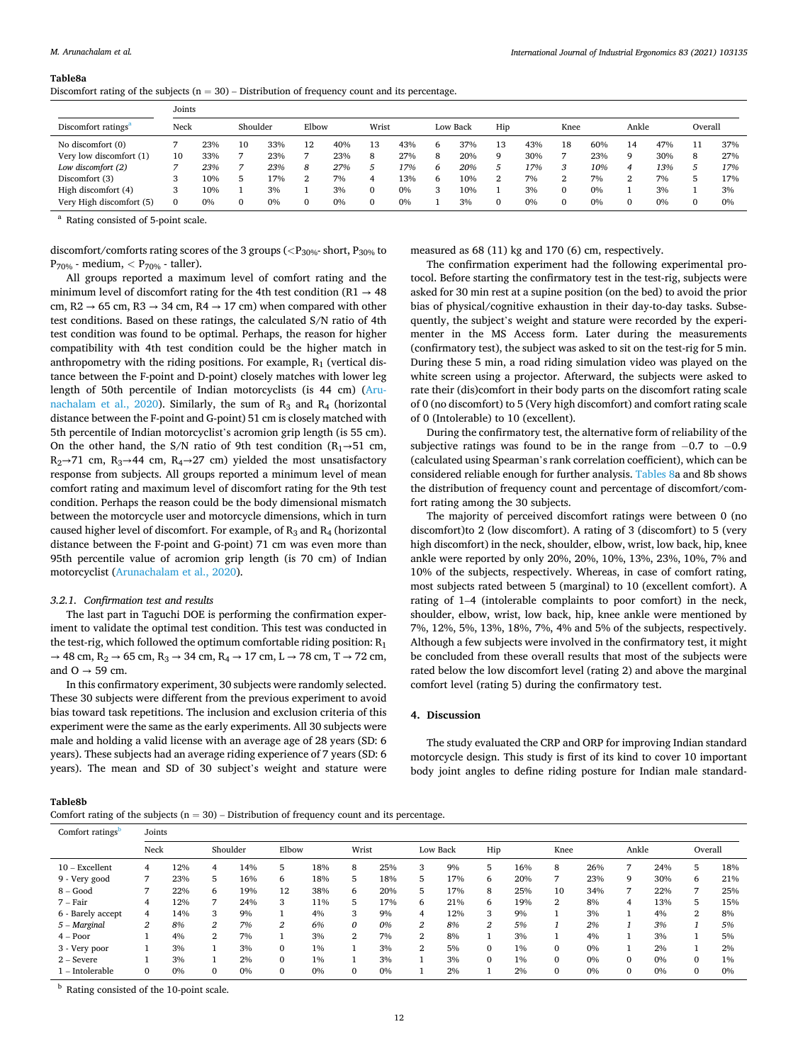#### **Table8a**

| Discomfort rating of the subjects $(n = 30)$ – Distribution of frequency count and its percentage. |  |  |  |
|----------------------------------------------------------------------------------------------------|--|--|--|
|----------------------------------------------------------------------------------------------------|--|--|--|

|                                 | Joints |     |          |     |          |     |          |     |              |          |               |     |          |     |       |     |         |     |
|---------------------------------|--------|-----|----------|-----|----------|-----|----------|-----|--------------|----------|---------------|-----|----------|-----|-------|-----|---------|-----|
| Discomfort ratings <sup>a</sup> | Neck   |     | Shoulder |     | Elbow    |     | Wrist    |     |              | Low Back | Hip           |     | Knee     |     | Ankle |     | Overall |     |
| No discomfort (0)               |        | 23% | 10       | 33% | 12       | 40% | 13       | 43% | <sub>t</sub> | 37%      | 13            | 43% | 18       | 60% | 14    | 47% |         | 37% |
| Very low discomfort (1)         | 10     | 33% |          | 23% |          | 23% | 8        | 27% | 8            | 20%      | 9             | 30% |          | 23% | q     | 30% | 8       | 27% |
| Low discomfort (2)              |        | 23% |          | 23% | 8        | 27% |          | 17% | 6            | 20%      | $\mathcal{P}$ | 17% |          | 10% |       | 13% |         | 17% |
| Discomfort (3)                  |        | 10% | 5        | 17% | ৴        | 7%  | 4        | 13% | 6            | 10%      | 2             | 7%  |          | 7%  | 2     | 7%  |         | 17% |
| High discomfort (4)             |        | 10% |          | 3%  |          | 3%  | $\Omega$ | 0%  |              | 10%      |               | 3%  | $\Omega$ | 0%  |       | 3%  |         | 3%  |
| Very High discomfort (5)        |        | 0%  | $\Omega$ | 0%  | $\Omega$ | 0%  | $\Omega$ | 0%  |              | 3%       | $\Omega$      | 0%  | 0        | 0%  | C     | 0%  |         | 0%  |

<sup>a</sup> Rating consisted of 5-point scale.

discomfort/comforts rating scores of the 3 groups (*<*P30%- short, P30% to P70% - medium, *<* P70% - taller).

All groups reported a maximum level of comfort rating and the minimum level of discomfort rating for the 4th test condition (R1  $\rightarrow$  48 cm, R2  $\rightarrow$  65 cm, R3  $\rightarrow$  34 cm, R4  $\rightarrow$  17 cm) when compared with other test conditions. Based on these ratings, the calculated S/N ratio of 4th test condition was found to be optimal. Perhaps, the reason for higher compatibility with 4th test condition could be the higher match in anthropometry with the riding positions. For example,  $R_1$  (vertical distance between the F-point and D-point) closely matches with lower leg length of 50th percentile of Indian motorcyclists (is 44 cm) [\(Aru](#page-14-0)[nachalam et al., 2020](#page-14-0)). Similarly, the sum of  $R_3$  and  $R_4$  (horizontal distance between the F-point and G-point) 51 cm is closely matched with 5th percentile of Indian motorcyclist's acromion grip length (is 55 cm). On the other hand, the S/N ratio of 9th test condition  $(R_1 \rightarrow 51 \text{ cm},$  $R_2 \rightarrow 71$  cm,  $R_3 \rightarrow 44$  cm,  $R_4 \rightarrow 27$  cm) yielded the most unsatisfactory response from subjects. All groups reported a minimum level of mean comfort rating and maximum level of discomfort rating for the 9th test condition. Perhaps the reason could be the body dimensional mismatch between the motorcycle user and motorcycle dimensions, which in turn caused higher level of discomfort. For example, of  $R_3$  and  $R_4$  (horizontal distance between the F-point and G-point) 71 cm was even more than 95th percentile value of acromion grip length (is 70 cm) of Indian motorcyclist ([Arunachalam et al., 2020](#page-14-0)).

## *3.2.1. Confirmation test and results*

The last part in Taguchi DOE is performing the confirmation experiment to validate the optimal test condition. This test was conducted in the test-rig, which followed the optimum comfortable riding position:  $R_1$  $\rightarrow$  48 cm, R<sub>2</sub>  $\rightarrow$  65 cm, R<sub>3</sub>  $\rightarrow$  34 cm, R<sub>4</sub>  $\rightarrow$  17 cm, L  $\rightarrow$  78 cm, T  $\rightarrow$  72 cm, and  $O \rightarrow 59$  cm.

In this confirmatory experiment, 30 subjects were randomly selected. These 30 subjects were different from the previous experiment to avoid bias toward task repetitions. The inclusion and exclusion criteria of this experiment were the same as the early experiments. All 30 subjects were male and holding a valid license with an average age of 28 years (SD: 6 years). These subjects had an average riding experience of 7 years (SD: 6 years). The mean and SD of 30 subject's weight and stature were measured as 68 (11) kg and 170 (6) cm, respectively.

The confirmation experiment had the following experimental protocol. Before starting the confirmatory test in the test-rig, subjects were asked for 30 min rest at a supine position (on the bed) to avoid the prior bias of physical/cognitive exhaustion in their day-to-day tasks. Subsequently, the subject's weight and stature were recorded by the experimenter in the MS Access form. Later during the measurements (confirmatory test), the subject was asked to sit on the test-rig for 5 min. During these 5 min, a road riding simulation video was played on the white screen using a projector. Afterward, the subjects were asked to rate their (dis)comfort in their body parts on the discomfort rating scale of 0 (no discomfort) to 5 (Very high discomfort) and comfort rating scale of 0 (Intolerable) to 10 (excellent).

During the confirmatory test, the alternative form of reliability of the subjective ratings was found to be in the range from −0.7 to −0.9 (calculated using Spearman's rank correlation coefficient), which can be considered reliable enough for further analysis. Tables 8a and 8b shows the distribution of frequency count and percentage of discomfort/comfort rating among the 30 subjects.

The majority of perceived discomfort ratings were between 0 (no discomfort)to 2 (low discomfort). A rating of 3 (discomfort) to 5 (very high discomfort) in the neck, shoulder, elbow, wrist, low back, hip, knee ankle were reported by only 20%, 20%, 10%, 13%, 23%, 10%, 7% and 10% of the subjects, respectively. Whereas, in case of comfort rating, most subjects rated between 5 (marginal) to 10 (excellent comfort). A rating of 1–4 (intolerable complaints to poor comfort) in the neck, shoulder, elbow, wrist, low back, hip, knee ankle were mentioned by 7%, 12%, 5%, 13%, 18%, 7%, 4% and 5% of the subjects, respectively. Although a few subjects were involved in the confirmatory test, it might be concluded from these overall results that most of the subjects were rated below the low discomfort level (rating 2) and above the marginal comfort level (rating 5) during the confirmatory test.

## **4. Discussion**

The study evaluated the CRP and ORP for improving Indian standard motorcycle design. This study is first of its kind to cover 10 important body joint angles to define riding posture for Indian male standard-

#### **Table8b**

Comfort rating of the subjects  $(n = 30)$  – Distribution of frequency count and its percentage.

| Comfort ratings   | Joints         |     |          |     |          |     |                |     |                |     |          |       |                |     |              |     |              |     |
|-------------------|----------------|-----|----------|-----|----------|-----|----------------|-----|----------------|-----|----------|-------|----------------|-----|--------------|-----|--------------|-----|
|                   | Neck           |     | Shoulder |     | Elbow    |     | Wrist          |     | Low Back       |     | Hip      |       | Knee           |     | Ankle        |     | Overall      |     |
| $10$ – Excellent  | 4              | 12% | 4        | 14% | 5        | 18% | 8              | 25% | 3              | 9%  | 5        | 16%   | 8              | 26% |              | 24% | 5            | 18% |
| 9 - Very good     | 7              | 23% | 5        | 16% | 6        | 18% | 5              | 18% | 5              | 17% | 6        | 20%   | 7              | 23% | 9            | 30% | 6            | 21% |
| $8 - Good$        | 7              | 22% | 6        | 19% | 12       | 38% | 6              | 20% | 5              | 17% | 8        | 25%   | 10             | 34% | 7            | 22% | 7            | 25% |
| 7 – Fair          | 4              | 12% | 7        | 24% | 3        | 11% | 5              | 17% | 6              | 21% | 6        | 19%   | $\overline{2}$ | 8%  | 4            | 13% | 5            | 15% |
| 6 - Barely accept | $\overline{4}$ | 14% | 3        | 9%  |          | 4%  | 3              | 9%  | 4              | 12% | 3        | 9%    |                | 3%  |              | 4%  | 2            | 8%  |
| 5 - Marginal      | $\overline{2}$ | 8%  | 2        | 7%  | 2        | 6%  | 0              | 0%  | $\overline{2}$ | 8%  | 2        | 5%    |                | 2%  |              | 3%  |              | 5%  |
| $4 - Poor$        |                | 4%  | 2        | 7%  |          | 3%  | $\overline{2}$ | 7%  | $\overline{2}$ | 8%  |          | 3%    |                | 4%  |              | 3%  |              | 5%  |
| 3 - Very poor     |                | 3%  |          | 3%  | $\Omega$ | 1%  |                | 3%  | $\overline{2}$ | 5%  | $\Omega$ | $1\%$ | $\Omega$       | 0%  |              | 2%  |              | 2%  |
| $2 -$ Severe      |                | 3%  |          | 2%  | $\Omega$ | 1%  |                | 3%  |                | 3%  | $\Omega$ | 1%    | $\Omega$       | 0%  | $\mathbf{0}$ | 0%  | $\mathbf{0}$ | 1%  |
| $1$ – Intolerable | 0              | 0%  | $\Omega$ | 0%  | $\Omega$ | 0%  | $\mathbf{0}$   | 0%  |                | 2%  |          | 2%    | $\Omega$       | 0%  | 0            | 0%  | $\mathbf{0}$ | 0%  |

<sup>b</sup> Rating consisted of the 10-point scale.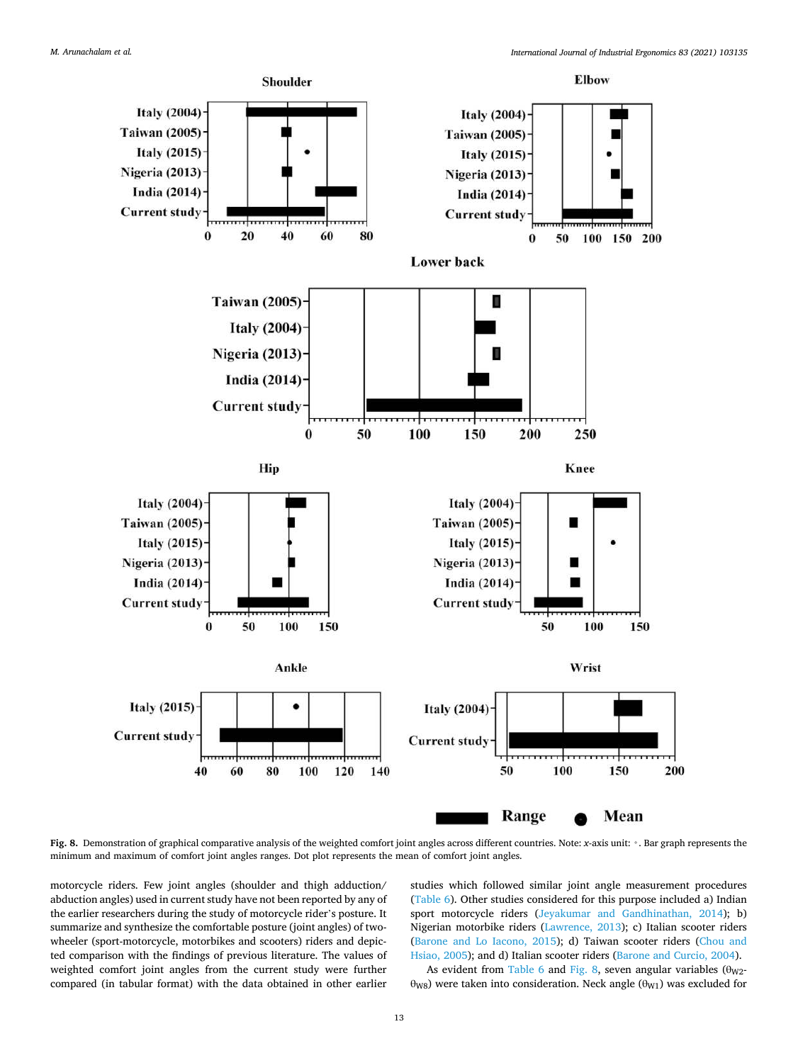<span id="page-12-0"></span>

**Fig. 8.** Demonstration of graphical comparative analysis of the weighted comfort joint angles across different countries. Note: *x*-axis unit: ◦. Bar graph represents the minimum and maximum of comfort joint angles ranges. Dot plot represents the mean of comfort joint angles.

motorcycle riders. Few joint angles (shoulder and thigh adduction/ abduction angles) used in current study have not been reported by any of the earlier researchers during the study of motorcycle rider's posture. It summarize and synthesize the comfortable posture (joint angles) of twowheeler (sport-motorcycle, motorbikes and scooters) riders and depicted comparison with the findings of previous literature. The values of weighted comfort joint angles from the current study were further compared (in tabular format) with the data obtained in other earlier

studies which followed similar joint angle measurement procedures ([Table 6](#page-10-0)). Other studies considered for this purpose included a) Indian sport motorcycle riders [\(Jeyakumar and Gandhinathan, 2014\)](#page-15-0); b) Nigerian motorbike riders ([Lawrence, 2013\)](#page-15-0); c) Italian scooter riders ([Barone and Lo Iacono, 2015](#page-14-0)); d) Taiwan scooter riders [\(Chou and](#page-14-0)  [Hsiao, 2005](#page-14-0)); and d) Italian scooter riders [\(Barone and Curcio, 2004\)](#page-14-0).

As evident from [Table 6](#page-10-0) and Fig. 8, seven angular variables  $(\theta_{W2}$  $θ<sub>W8</sub>$ ) were taken into consideration. Neck angle ( $θ<sub>W1</sub>$ ) was excluded for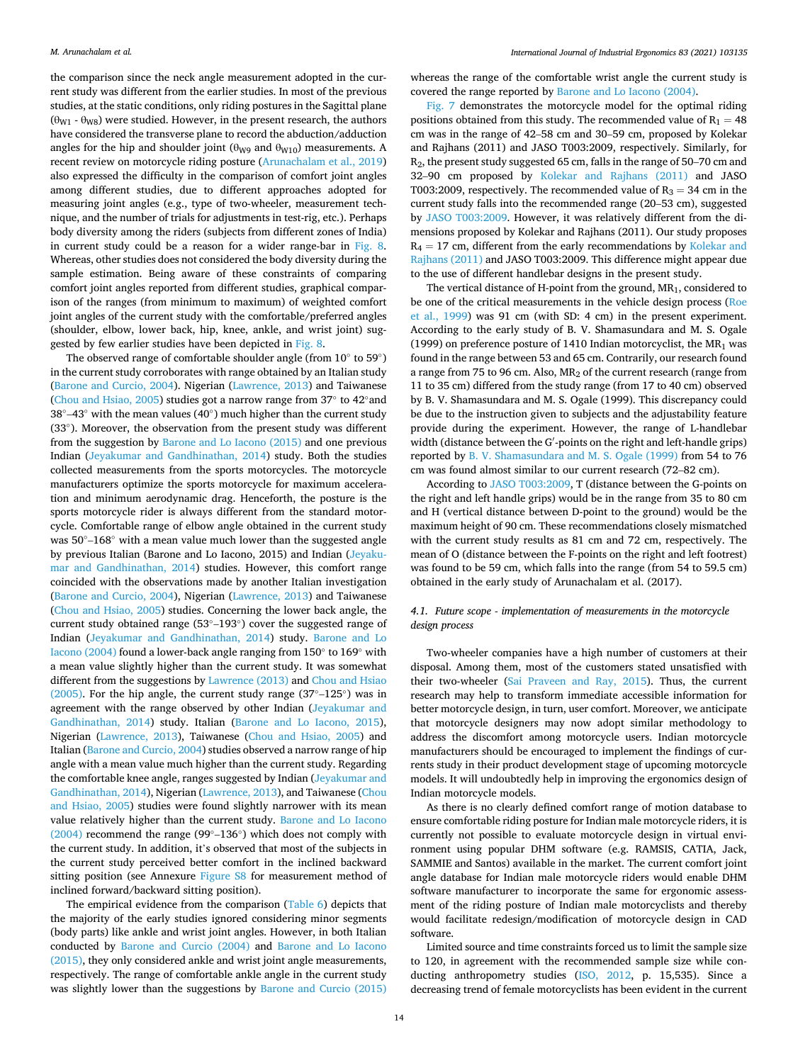the comparison since the neck angle measurement adopted in the current study was different from the earlier studies. In most of the previous studies, at the static conditions, only riding postures in the Sagittal plane  $(\theta_{W1} - \theta_{W8})$  were studied. However, in the present research, the authors have considered the transverse plane to record the abduction/adduction angles for the hip and shoulder joint ( $\theta_{W9}$  and  $\theta_{W10}$ ) measurements. A recent review on motorcycle riding posture ([Arunachalam et al., 2019\)](#page-14-0) also expressed the difficulty in the comparison of comfort joint angles among different studies, due to different approaches adopted for measuring joint angles (e.g., type of two-wheeler, measurement technique, and the number of trials for adjustments in test-rig, etc.). Perhaps body diversity among the riders (subjects from different zones of India) in current study could be a reason for a wider range-bar in [Fig. 8](#page-12-0). Whereas, other studies does not considered the body diversity during the sample estimation. Being aware of these constraints of comparing comfort joint angles reported from different studies, graphical comparison of the ranges (from minimum to maximum) of weighted comfort joint angles of the current study with the comfortable/preferred angles (shoulder, elbow, lower back, hip, knee, ankle, and wrist joint) suggested by few earlier studies have been depicted in [Fig. 8.](#page-12-0)

The observed range of comfortable shoulder angle (from  $10^{\circ}$  to  $59^{\circ}$ ) in the current study corroborates with range obtained by an Italian study ([Barone and Curcio, 2004\)](#page-14-0). Nigerian ([Lawrence, 2013](#page-15-0)) and Taiwanese ([Chou and Hsiao, 2005\)](#page-14-0) studies got a narrow range from 37◦ to 42◦and 38 $^{\circ}$ –43 $^{\circ}$  with the mean values (40 $^{\circ}$ ) much higher than the current study (33◦ ). Moreover, the observation from the present study was different from the suggestion by [Barone and Lo Iacono \(2015\)](#page-14-0) and one previous Indian ([Jeyakumar and Gandhinathan, 2014\)](#page-15-0) study. Both the studies collected measurements from the sports motorcycles. The motorcycle manufacturers optimize the sports motorcycle for maximum acceleration and minimum aerodynamic drag. Henceforth, the posture is the sports motorcycle rider is always different from the standard motorcycle. Comfortable range of elbow angle obtained in the current study was 50°–168° with a mean value much lower than the suggested angle by previous Italian (Barone and Lo Iacono, 2015) and Indian [\(Jeyaku](#page-15-0)[mar and Gandhinathan, 2014](#page-15-0)) studies. However, this comfort range coincided with the observations made by another Italian investigation ([Barone and Curcio, 2004\)](#page-14-0), Nigerian ([Lawrence, 2013](#page-15-0)) and Taiwanese ([Chou and Hsiao, 2005](#page-14-0)) studies. Concerning the lower back angle, the current study obtained range (53◦–193◦ ) cover the suggested range of Indian [\(Jeyakumar and Gandhinathan, 2014\)](#page-15-0) study. [Barone and Lo](#page-14-0)  [Iacono \(2004\)](#page-14-0) found a lower-back angle ranging from 150° to 169° with a mean value slightly higher than the current study. It was somewhat different from the suggestions by [Lawrence \(2013\)](#page-15-0) and Chou and Hsiao [\(2005\).](#page-14-0) For the hip angle, the current study range (37◦–125◦ ) was in agreement with the range observed by other Indian [\(Jeyakumar and](#page-15-0)  [Gandhinathan, 2014](#page-15-0)) study. Italian ([Barone and Lo Iacono, 2015](#page-14-0)), Nigerian ([Lawrence, 2013\)](#page-15-0), Taiwanese ([Chou and Hsiao, 2005\)](#page-14-0) and Italian ([Barone and Curcio, 2004\)](#page-14-0) studies observed a narrow range of hip angle with a mean value much higher than the current study. Regarding the comfortable knee angle, ranges suggested by Indian (Jeyakumar and [Gandhinathan, 2014](#page-15-0)), Nigerian [\(Lawrence, 2013\)](#page-15-0), and Taiwanese [\(Chou](#page-14-0)  [and Hsiao, 2005\)](#page-14-0) studies were found slightly narrower with its mean value relatively higher than the current study. [Barone and Lo Iacono](#page-14-0)  [\(2004\)](#page-14-0) recommend the range (99◦–136◦ ) which does not comply with the current study. In addition, it's observed that most of the subjects in the current study perceived better comfort in the inclined backward sitting position (see Annexure [Figure S8](#page-12-0) for measurement method of inclined forward/backward sitting position).

The empirical evidence from the comparison ([Table 6\)](#page-10-0) depicts that the majority of the early studies ignored considering minor segments (body parts) like ankle and wrist joint angles. However, in both Italian conducted by [Barone and Curcio \(2004\)](#page-14-0) and [Barone and Lo Iacono](#page-14-0)  [\(2015\),](#page-14-0) they only considered ankle and wrist joint angle measurements, respectively. The range of comfortable ankle angle in the current study was slightly lower than the suggestions by [Barone and Curcio \(2015\)](#page-14-0) 

whereas the range of the comfortable wrist angle the current study is covered the range reported by [Barone and Lo Iacono \(2004\)](#page-14-0).

[Fig. 7](#page-7-0) demonstrates the motorcycle model for the optimal riding positions obtained from this study. The recommended value of  $R_1 = 48$ cm was in the range of 42–58 cm and 30–59 cm, proposed by Kolekar and Rajhans (2011) and JASO T003:2009, respectively. Similarly, for R2, the present study suggested 65 cm, falls in the range of 50–70 cm and 32–90 cm proposed by [Kolekar and Rajhans \(2011\)](#page-15-0) and JASO T003:2009, respectively. The recommended value of  $R_3 = 34$  cm in the current study falls into the recommended range (20–53 cm), suggested by [JASO T003:2009.](#page-15-0) However, it was relatively different from the dimensions proposed by Kolekar and Rajhans (2011). Our study proposes  $R_4 = 17$  cm, different from the early recommendations by Kolekar and [Rajhans \(2011\)](#page-15-0) and JASO T003:2009. This difference might appear due to the use of different handlebar designs in the present study.

The vertical distance of H-point from the ground, MR1, considered to be one of the critical measurements in the vehicle design process [\(Roe](#page-15-0)  [et al., 1999\)](#page-15-0) was 91 cm (with SD: 4 cm) in the present experiment. According to the early study of B. V. Shamasundara and M. S. Ogale (1999) on preference posture of 1410 Indian motorcyclist, the  $MR_1$  was found in the range between 53 and 65 cm. Contrarily, our research found a range from 75 to 96 cm. Also,  $MR_2$  of the current research (range from 11 to 35 cm) differed from the study range (from 17 to 40 cm) observed by B. V. Shamasundara and M. S. Ogale (1999). This discrepancy could be due to the instruction given to subjects and the adjustability feature provide during the experiment. However, the range of L-handlebar width (distance between the G′ -points on the right and left-handle grips) reported by [B. V. Shamasundara and M. S. Ogale \(1999\)](#page-15-0) from 54 to 76 cm was found almost similar to our current research (72–82 cm).

According to [JASO T003:2009,](#page-15-0) T (distance between the G-points on the right and left handle grips) would be in the range from 35 to 80 cm and H (vertical distance between D-point to the ground) would be the maximum height of 90 cm. These recommendations closely mismatched with the current study results as 81 cm and 72 cm, respectively. The mean of O (distance between the F-points on the right and left footrest) was found to be 59 cm, which falls into the range (from 54 to 59.5 cm) obtained in the early study of Arunachalam et al. (2017).

## *4.1. Future scope - implementation of measurements in the motorcycle design process*

Two-wheeler companies have a high number of customers at their disposal. Among them, most of the customers stated unsatisfied with their two-wheeler [\(Sai Praveen and Ray, 2015\)](#page-15-0). Thus, the current research may help to transform immediate accessible information for better motorcycle design, in turn, user comfort. Moreover, we anticipate that motorcycle designers may now adopt similar methodology to address the discomfort among motorcycle users. Indian motorcycle manufacturers should be encouraged to implement the findings of currents study in their product development stage of upcoming motorcycle models. It will undoubtedly help in improving the ergonomics design of Indian motorcycle models.

As there is no clearly defined comfort range of motion database to ensure comfortable riding posture for Indian male motorcycle riders, it is currently not possible to evaluate motorcycle design in virtual environment using popular DHM software (e.g. RAMSIS, CATIA, Jack, SAMMIE and Santos) available in the market. The current comfort joint angle database for Indian male motorcycle riders would enable DHM software manufacturer to incorporate the same for ergonomic assessment of the riding posture of Indian male motorcyclists and thereby would facilitate redesign/modification of motorcycle design in CAD software.

Limited source and time constraints forced us to limit the sample size to 120, in agreement with the recommended sample size while conducting anthropometry studies [\(ISO, 2012](#page-15-0), p. 15,535). Since a decreasing trend of female motorcyclists has been evident in the current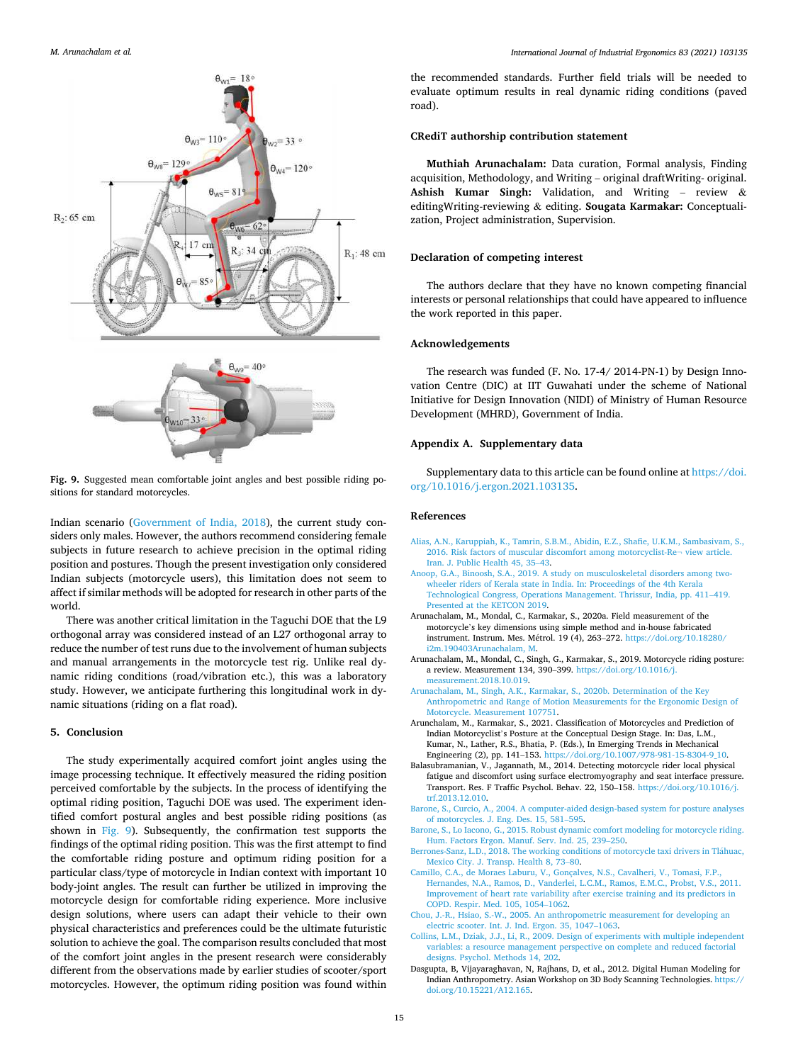<span id="page-14-0"></span>

**Fig. 9.** Suggested mean comfortable joint angles and best possible riding positions for standard motorcycles.

Indian scenario [\(Government of India, 2018\)](#page-15-0), the current study considers only males. However, the authors recommend considering female subjects in future research to achieve precision in the optimal riding position and postures. Though the present investigation only considered Indian subjects (motorcycle users), this limitation does not seem to affect if similar methods will be adopted for research in other parts of the world.

There was another critical limitation in the Taguchi DOE that the L9 orthogonal array was considered instead of an L27 orthogonal array to reduce the number of test runs due to the involvement of human subjects and manual arrangements in the motorcycle test rig. Unlike real dynamic riding conditions (road/vibration etc.), this was a laboratory study. However, we anticipate furthering this longitudinal work in dynamic situations (riding on a flat road).

#### **5. Conclusion**

The study experimentally acquired comfort joint angles using the image processing technique. It effectively measured the riding position perceived comfortable by the subjects. In the process of identifying the optimal riding position, Taguchi DOE was used. The experiment identified comfort postural angles and best possible riding positions (as shown in Fig. 9). Subsequently, the confirmation test supports the findings of the optimal riding position. This was the first attempt to find the comfortable riding posture and optimum riding position for a particular class/type of motorcycle in Indian context with important 10 body-joint angles. The result can further be utilized in improving the motorcycle design for comfortable riding experience. More inclusive design solutions, where users can adapt their vehicle to their own physical characteristics and preferences could be the ultimate futuristic solution to achieve the goal. The comparison results concluded that most of the comfort joint angles in the present research were considerably different from the observations made by earlier studies of scooter/sport motorcycles. However, the optimum riding position was found within

the recommended standards. Further field trials will be needed to evaluate optimum results in real dynamic riding conditions (paved road).

## **CRediT authorship contribution statement**

**Muthiah Arunachalam:** Data curation, Formal analysis, Finding acquisition, Methodology, and Writing – original draftWriting- original. **Ashish Kumar Singh:** Validation, and Writing – review & editingWriting-reviewing & editing. **Sougata Karmakar:** Conceptualization, Project administration, Supervision.

## **Declaration of competing interest**

The authors declare that they have no known competing financial interests or personal relationships that could have appeared to influence the work reported in this paper.

## **Acknowledgements**

The research was funded (F. No. 17-4/ 2014-PN-1) by Design Innovation Centre (DIC) at IIT Guwahati under the scheme of National Initiative for Design Innovation (NIDI) of Ministry of Human Resource Development (MHRD), Government of India.

## **Appendix A. Supplementary data**

Supplementary data to this article can be found online at [https://doi.](https://doi.org/10.1016/j.ergon.2021.103135)  [org/10.1016/j.ergon.2021.103135](https://doi.org/10.1016/j.ergon.2021.103135).

#### **References**

- [Alias, A.N., Karuppiah, K., Tamrin, S.B.M., Abidin, E.Z., Shafie, U.K.M., Sambasivam, S.,](http://refhub.elsevier.com/S0169-8141(21)00053-6/sref1)  [2016. Risk factors of muscular discomfort among motorcyclist-Re](http://refhub.elsevier.com/S0169-8141(21)00053-6/sref1)¬ view article. [Iran. J. Public Health 45, 35](http://refhub.elsevier.com/S0169-8141(21)00053-6/sref1)–43.
- [Anoop, G.A., Binoosh, S.A., 2019. A study on musculoskeletal disorders among two](http://refhub.elsevier.com/S0169-8141(21)00053-6/sref2)[wheeler riders of Kerala state in India. In: Proceedings of the 4th Kerala](http://refhub.elsevier.com/S0169-8141(21)00053-6/sref2)  [Technological Congress, Operations Management. Thrissur, India, pp. 411](http://refhub.elsevier.com/S0169-8141(21)00053-6/sref2)–419. [Presented at the KETCON 2019](http://refhub.elsevier.com/S0169-8141(21)00053-6/sref2).
- Arunachalam, M., Mondal, C., Karmakar, S., 2020a. Field measurement of the motorcycle's key dimensions using simple method and in-house fabricated instrument. Instrum. Mes. Métrol. 19 (4), 263-272. [https://doi.org/10.18280/](https://doi.org/10.18280/i2m.190403Arunachalam, M) [i2m.190403Arunachalam, M.](https://doi.org/10.18280/i2m.190403Arunachalam, M)
- Arunachalam, M., Mondal, C., Singh, G., Karmakar, S., 2019. Motorcycle riding posture: a review. Measurement 134, 390–399. [https://doi.org/10.1016/j.](https://doi.org/10.1016/j.measurement.2018.10.019)  [measurement.2018.10.019](https://doi.org/10.1016/j.measurement.2018.10.019).
- [Arunachalam, M., Singh, A.K., Karmakar, S., 2020b. Determination of the Key](http://refhub.elsevier.com/S0169-8141(21)00053-6/sref4)  [Anthropometric and Range of Motion Measurements for the Ergonomic Design of](http://refhub.elsevier.com/S0169-8141(21)00053-6/sref4)  [Motorcycle. Measurement 107751.](http://refhub.elsevier.com/S0169-8141(21)00053-6/sref4)
- Arunchalam, M., Karmakar, S., 2021. Classification of Motorcycles and Prediction of Indian Motorcyclist's Posture at the Conceptual Design Stage. In: Das, L.M., Kumar, N., Lather, R.S., Bhatia, P. (Eds.), In Emerging Trends in Mechanical Engineering (2), pp. 141–153. [https://doi.org/10.1007/978-981-15-8304-9\\_10](https://doi.org/10.1007/978-981-15-8304-9_10).
- Balasubramanian, V., Jagannath, M., 2014. Detecting motorcycle rider local physical fatigue and discomfort using surface electromyography and seat interface pressure. Transport. Res. F Traffic Psychol. Behav. 22, 150–158. [https://doi.org/10.1016/j.](https://doi.org/10.1016/j.trf.2013.12.010)  [trf.2013.12.010.](https://doi.org/10.1016/j.trf.2013.12.010)
- [Barone, S., Curcio, A., 2004. A computer-aided design-based system for posture analyses](http://refhub.elsevier.com/S0169-8141(21)00053-6/sref6)  [of motorcycles. J. Eng. Des. 15, 581](http://refhub.elsevier.com/S0169-8141(21)00053-6/sref6)–595.
- [Barone, S., Lo Iacono, G., 2015. Robust dynamic comfort modeling for motorcycle riding.](http://refhub.elsevier.com/S0169-8141(21)00053-6/sref7)  [Hum. Factors Ergon. Manuf. Serv. Ind. 25, 239](http://refhub.elsevier.com/S0169-8141(21)00053-6/sref7)–250.
- [Berrones-Sanz, L.D., 2018. The working conditions of motorcycle taxi drivers in Tl](http://refhub.elsevier.com/S0169-8141(21)00053-6/sref8)áhuac. [Mexico City. J. Transp. Health 8, 73](http://refhub.elsevier.com/S0169-8141(21)00053-6/sref8)–80.
- [Camillo, C.A., de Moraes Laburu, V., Gonçalves, N.S., Cavalheri, V., Tomasi, F.P.,](http://refhub.elsevier.com/S0169-8141(21)00053-6/sref9)  [Hernandes, N.A., Ramos, D., Vanderlei, L.C.M., Ramos, E.M.C., Probst, V.S., 2011.](http://refhub.elsevier.com/S0169-8141(21)00053-6/sref9) [Improvement of heart rate variability after exercise training and its predictors in](http://refhub.elsevier.com/S0169-8141(21)00053-6/sref9) [COPD. Respir. Med. 105, 1054](http://refhub.elsevier.com/S0169-8141(21)00053-6/sref9)–1062.
- [Chou, J.-R., Hsiao, S.-W., 2005. An anthropometric measurement for developing an](http://refhub.elsevier.com/S0169-8141(21)00053-6/sref10) [electric scooter. Int. J. Ind. Ergon. 35, 1047](http://refhub.elsevier.com/S0169-8141(21)00053-6/sref10)–1063.
- [Collins, L.M., Dziak, J.J., Li, R., 2009. Design of experiments with multiple independent](http://refhub.elsevier.com/S0169-8141(21)00053-6/sref11)  [variables: a resource management perspective on complete and reduced factorial](http://refhub.elsevier.com/S0169-8141(21)00053-6/sref11)  [designs. Psychol. Methods 14, 202.](http://refhub.elsevier.com/S0169-8141(21)00053-6/sref11)
- Dasgupta, B, Vijayaraghavan, N, Rajhans, D, et al., 2012. Digital Human Modeling for Indian Anthropometry. Asian Workshop on 3D Body Scanning Technologies. [https://](https://doi.org/10.15221/A12.165)  [doi.org/10.15221/A12.165.](https://doi.org/10.15221/A12.165)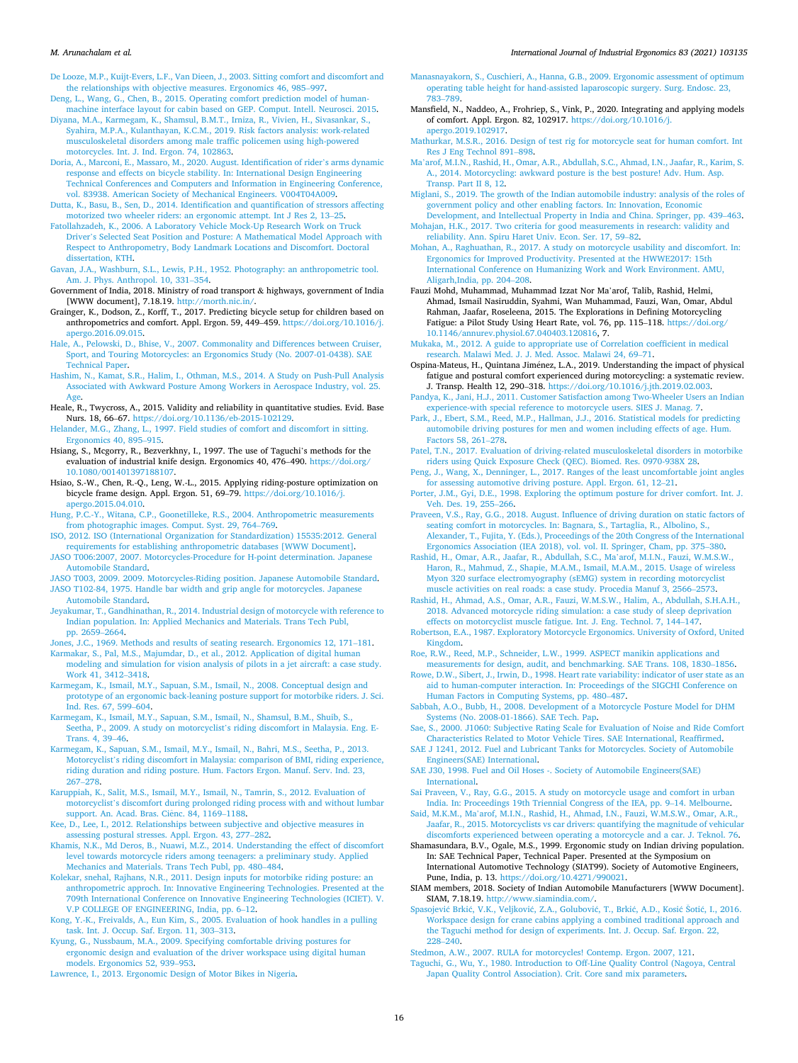<span id="page-15-0"></span>[De Looze, M.P., Kuijt-Evers, L.F., Van Dieen, J., 2003. Sitting comfort and discomfort and](http://refhub.elsevier.com/S0169-8141(21)00053-6/sref12)  [the relationships with objective measures. Ergonomics 46, 985](http://refhub.elsevier.com/S0169-8141(21)00053-6/sref12)–997.

[Deng, L., Wang, G., Chen, B., 2015. Operating comfort prediction model of human](http://refhub.elsevier.com/S0169-8141(21)00053-6/sref13)[machine interface layout for cabin based on GEP. Comput. Intell. Neurosci. 2015](http://refhub.elsevier.com/S0169-8141(21)00053-6/sref13).

- [Diyana, M.A., Karmegam, K., Shamsul, B.M.T., Irniza, R., Vivien, H., Sivasankar, S.,](http://refhub.elsevier.com/S0169-8141(21)00053-6/sref14)  [Syahira, M.P.A., Kulanthayan, K.C.M., 2019. Risk factors analysis: work-related](http://refhub.elsevier.com/S0169-8141(21)00053-6/sref14)  [musculoskeletal disorders among male traffic policemen using high-powered](http://refhub.elsevier.com/S0169-8141(21)00053-6/sref14) [motorcycles. Int. J. Ind. Ergon. 74, 102863.](http://refhub.elsevier.com/S0169-8141(21)00053-6/sref14)
- [Doria, A., Marconi, E., Massaro, M., 2020. August. Identification of rider](http://refhub.elsevier.com/S0169-8141(21)00053-6/sref15)'s arms dynamic [response and effects on bicycle stability. In: International Design Engineering](http://refhub.elsevier.com/S0169-8141(21)00053-6/sref15) [Technical Conferences and Computers and Information in Engineering Conference,](http://refhub.elsevier.com/S0169-8141(21)00053-6/sref15)  [vol. 83938. American Society of Mechanical Engineers. V004T04A009](http://refhub.elsevier.com/S0169-8141(21)00053-6/sref15).
- [Dutta, K., Basu, B., Sen, D., 2014. Identification and quantification of stressors affecting](http://refhub.elsevier.com/S0169-8141(21)00053-6/sref16)  [motorized two wheeler riders: an ergonomic attempt. Int J Res 2, 13](http://refhub.elsevier.com/S0169-8141(21)00053-6/sref16)–25.
- [Fatollahzadeh, K., 2006. A Laboratory Vehicle Mock-Up Research Work on Truck](http://refhub.elsevier.com/S0169-8141(21)00053-6/sref17)  Driver'[s Selected Seat Position and Posture: A Mathematical Model Approach with](http://refhub.elsevier.com/S0169-8141(21)00053-6/sref17) [Respect to Anthropometry, Body Landmark Locations and Discomfort. Doctoral](http://refhub.elsevier.com/S0169-8141(21)00053-6/sref17)  [dissertation, KTH.](http://refhub.elsevier.com/S0169-8141(21)00053-6/sref17)
- [Gavan, J.A., Washburn, S.L., Lewis, P.H., 1952. Photography: an anthropometric tool.](http://refhub.elsevier.com/S0169-8141(21)00053-6/sref18)  [Am. J. Phys. Anthropol. 10, 331](http://refhub.elsevier.com/S0169-8141(21)00053-6/sref18)–354.
- Government of India, 2018. Ministry of road transport & highways, government of India [WWW document], 7.18.19. [http://morth.nic.in/.](http://morth.nic.in/)
- Grainger, K., Dodson, Z., Korff, T., 2017. Predicting bicycle setup for children based on anthropometrics and comfort. Appl. Ergon. 59, 449–459. [https://doi.org/10.1016/j.](https://doi.org/10.1016/j.apergo.2016.09.015)  [apergo.2016.09.015](https://doi.org/10.1016/j.apergo.2016.09.015).
- [Hale, A., Pelowski, D., Bhise, V., 2007. Commonality and Differences between Cruiser,](http://refhub.elsevier.com/S0169-8141(21)00053-6/sref21)  [Sport, and Touring Motorcycles: an Ergonomics Study \(No. 2007-01-0438\). SAE](http://refhub.elsevier.com/S0169-8141(21)00053-6/sref21)  [Technical Paper](http://refhub.elsevier.com/S0169-8141(21)00053-6/sref21).
- [Hashim, N., Kamat, S.R., Halim, I., Othman, M.S., 2014. A Study on Push-Pull Analysis](http://refhub.elsevier.com/S0169-8141(21)00053-6/sref22)  [Associated with Awkward Posture Among Workers in Aerospace Industry, vol. 25.](http://refhub.elsevier.com/S0169-8141(21)00053-6/sref22) [Age](http://refhub.elsevier.com/S0169-8141(21)00053-6/sref22)
- Heale, R., Twycross, A., 2015. Validity and reliability in quantitative studies. Evid. Base Nurs. 18, 66–67. [https://doi.org/10.1136/eb-2015-102129.](https://doi.org/10.1136/eb-2015-102129)
- [Helander, M.G., Zhang, L., 1997. Field studies of comfort and discomfort in sitting.](http://refhub.elsevier.com/S0169-8141(21)00053-6/sref24) [Ergonomics 40, 895](http://refhub.elsevier.com/S0169-8141(21)00053-6/sref24)–915.
- Hsiang, S., Mcgorry, R., Bezverkhny, I., 1997. The use of Taguchi's methods for the evaluation of industrial knife design. Ergonomics 40, 476–490. [https://doi.org/](https://doi.org/10.1080/001401397188107)  [10.1080/001401397188107.](https://doi.org/10.1080/001401397188107)
- Hsiao, S.-W., Chen, R.-Q., Leng, W.-L., 2015. Applying riding-posture optimization on bicycle frame design. Appl. Ergon. 51, 69–79. [https://doi.org/10.1016/j.](https://doi.org/10.1016/j.apergo.2015.04.010)  [apergo.2015.04.010](https://doi.org/10.1016/j.apergo.2015.04.010).
- [Hung, P.C.-Y., Witana, C.P., Goonetilleke, R.S., 2004. Anthropometric measurements](http://refhub.elsevier.com/S0169-8141(21)00053-6/sref27) [from photographic images. Comput. Syst. 29, 764](http://refhub.elsevier.com/S0169-8141(21)00053-6/sref27)–769.
- [ISO, 2012. ISO \(International Organization for Standardization\) 15535:2012. General](http://refhub.elsevier.com/S0169-8141(21)00053-6/sref28) [requirements for establishing anthropometric databases \[WWW Document\]](http://refhub.elsevier.com/S0169-8141(21)00053-6/sref28).
- [JASO T006:2007, 2007. Motorcycles-Procedure for H-point determination. Japanese](http://refhub.elsevier.com/S0169-8141(21)00053-6/sref29) [Automobile Standard.](http://refhub.elsevier.com/S0169-8141(21)00053-6/sref29) [JASO T003, 2009. 2009. Motorcycles-Riding position. Japanese Automobile Standard.](http://refhub.elsevier.com/S0169-8141(21)00053-6/sref30)
- [JASO T102-84, 1975. Handle bar width and grip angle for motorcycles. Japanese](http://refhub.elsevier.com/S0169-8141(21)00053-6/sref31) [Automobile Standard.](http://refhub.elsevier.com/S0169-8141(21)00053-6/sref31)
- [Jeyakumar, T., Gandhinathan, R., 2014. Industrial design of motorcycle with reference to](http://refhub.elsevier.com/S0169-8141(21)00053-6/sref32)  [Indian population. In: Applied Mechanics and Materials. Trans Tech Publ,](http://refhub.elsevier.com/S0169-8141(21)00053-6/sref32)  [pp. 2659](http://refhub.elsevier.com/S0169-8141(21)00053-6/sref32)–2664.
- [Jones, J.C., 1969. Methods and results of seating research. Ergonomics 12, 171](http://refhub.elsevier.com/S0169-8141(21)00053-6/sref33)–181.
- [Karmakar, S., Pal, M.S., Majumdar, D., et al., 2012. Application of digital human](http://refhub.elsevier.com/S0169-8141(21)00053-6/opt8wEZnqeo4s) [modeling and simulation for vision analysis of pilots in a jet aircraft: a case study.](http://refhub.elsevier.com/S0169-8141(21)00053-6/opt8wEZnqeo4s)  [Work 41, 3412](http://refhub.elsevier.com/S0169-8141(21)00053-6/opt8wEZnqeo4s)–3418.
- [Karmegam, K., Ismail, M.Y., Sapuan, S.M., Ismail, N., 2008. Conceptual design and](http://refhub.elsevier.com/S0169-8141(21)00053-6/sref34)  [prototype of an ergonomic back-leaning posture support for motorbike riders. J. Sci.](http://refhub.elsevier.com/S0169-8141(21)00053-6/sref34)  [Ind. Res. 67, 599](http://refhub.elsevier.com/S0169-8141(21)00053-6/sref34)–604.
- [Karmegam, K., Ismail, M.Y., Sapuan, S.M., Ismail, N., Shamsul, B.M., Shuib, S.,](http://refhub.elsevier.com/S0169-8141(21)00053-6/sref35) [Seetha, P., 2009. A study on motorcyclist](http://refhub.elsevier.com/S0169-8141(21)00053-6/sref35)'s riding discomfort in Malaysia. Eng. E-[Trans. 4, 39](http://refhub.elsevier.com/S0169-8141(21)00053-6/sref35)–46.
- [Karmegam, K., Sapuan, S.M., Ismail, M.Y., Ismail, N., Bahri, M.S., Seetha, P., 2013.](http://refhub.elsevier.com/S0169-8141(21)00053-6/sref36)  Motorcyclist'[s riding discomfort in Malaysia: comparison of BMI, riding experience,](http://refhub.elsevier.com/S0169-8141(21)00053-6/sref36)  [riding duration and riding posture. Hum. Factors Ergon. Manuf. Serv. Ind. 23,](http://refhub.elsevier.com/S0169-8141(21)00053-6/sref36)  267–[278](http://refhub.elsevier.com/S0169-8141(21)00053-6/sref36).
- [Karuppiah, K., Salit, M.S., Ismail, M.Y., Ismail, N., Tamrin, S., 2012. Evaluation of](http://refhub.elsevier.com/S0169-8141(21)00053-6/sref37)  motorcyclist'[s discomfort during prolonged riding process with and without lumbar](http://refhub.elsevier.com/S0169-8141(21)00053-6/sref37)  [support. An. Acad. Bras. Ci](http://refhub.elsevier.com/S0169-8141(21)00053-6/sref37)ênc. 84, 1169-1188.
- [Kee, D., Lee, I., 2012. Relationships between subjective and objective measures in](http://refhub.elsevier.com/S0169-8141(21)00053-6/sref38)  [assessing postural stresses. Appl. Ergon. 43, 277](http://refhub.elsevier.com/S0169-8141(21)00053-6/sref38)–282.
- [Khamis, N.K., Md Deros, B., Nuawi, M.Z., 2014. Understanding the effect of discomfort](http://refhub.elsevier.com/S0169-8141(21)00053-6/sref39)  [level towards motorcycle riders among teenagers: a preliminary study. Applied](http://refhub.elsevier.com/S0169-8141(21)00053-6/sref39) [Mechanics and Materials. Trans Tech Publ, pp. 480](http://refhub.elsevier.com/S0169-8141(21)00053-6/sref39)–484.
- [Kolekar, snehal, Rajhans, N.R., 2011. Design inputs for motorbike riding posture: an](http://refhub.elsevier.com/S0169-8141(21)00053-6/sref40)  [anthropometric approch. In: Innovative Engineering Technologies. Presented at the](http://refhub.elsevier.com/S0169-8141(21)00053-6/sref40)  [709th International Conference on Innovative Engineering Technologies \(ICIET\). V.](http://refhub.elsevier.com/S0169-8141(21)00053-6/sref40)  [V.P COLLEGE OF ENGINEERING, India, pp. 6](http://refhub.elsevier.com/S0169-8141(21)00053-6/sref40)–12.
- [Kong, Y.-K., Freivalds, A., Eun Kim, S., 2005. Evaluation of hook handles in a pulling](http://refhub.elsevier.com/S0169-8141(21)00053-6/sref41)  [task. Int. J. Occup. Saf. Ergon. 11, 303](http://refhub.elsevier.com/S0169-8141(21)00053-6/sref41)–313.
- [Kyung, G., Nussbaum, M.A., 2009. Specifying comfortable driving postures for](http://refhub.elsevier.com/S0169-8141(21)00053-6/sref42)  [ergonomic design and evaluation of the driver workspace using digital human](http://refhub.elsevier.com/S0169-8141(21)00053-6/sref42)  [models. Ergonomics 52, 939](http://refhub.elsevier.com/S0169-8141(21)00053-6/sref42)–953.
- [Lawrence, I., 2013. Ergonomic Design of Motor Bikes in Nigeria.](http://refhub.elsevier.com/S0169-8141(21)00053-6/sref43)
- [Manasnayakorn, S., Cuschieri, A., Hanna, G.B., 2009. Ergonomic assessment of optimum](http://refhub.elsevier.com/S0169-8141(21)00053-6/sref44)  [operating table height for hand-assisted laparoscopic surgery. Surg. Endosc. 23,](http://refhub.elsevier.com/S0169-8141(21)00053-6/sref44)  783–[789](http://refhub.elsevier.com/S0169-8141(21)00053-6/sref44).
- Mansfield, N., Naddeo, A., Frohriep, S., Vink, P., 2020. Integrating and applying models of comfort. Appl. Ergon. 82, 102917. [https://doi.org/10.1016/j.](https://doi.org/10.1016/j.apergo.2019.102917)  [apergo.2019.102917](https://doi.org/10.1016/j.apergo.2019.102917).
- [Mathurkar, M.S.R., 2016. Design of test rig for motorcycle seat for human comfort. Int](http://refhub.elsevier.com/S0169-8141(21)00053-6/sref46) [Res J Eng Technol 891](http://refhub.elsevier.com/S0169-8141(21)00053-6/sref46)–898.
- Ma'[arof, M.I.N., Rashid, H., Omar, A.R., Abdullah, S.C., Ahmad, I.N., Jaafar, R., Karim, S.](http://refhub.elsevier.com/S0169-8141(21)00053-6/sref47)  [A., 2014. Motorcycling: awkward posture is the best posture! Adv. Hum. Asp.](http://refhub.elsevier.com/S0169-8141(21)00053-6/sref47)  [Transp. Part II 8, 12](http://refhub.elsevier.com/S0169-8141(21)00053-6/sref47).
- [Miglani, S., 2019. The growth of the Indian automobile industry: analysis of the roles of](http://refhub.elsevier.com/S0169-8141(21)00053-6/sref48)  [government policy and other enabling factors. In: Innovation, Economic](http://refhub.elsevier.com/S0169-8141(21)00053-6/sref48) [Development, and Intellectual Property in India and China. Springer, pp. 439](http://refhub.elsevier.com/S0169-8141(21)00053-6/sref48)–463.
- [Mohajan, H.K., 2017. Two criteria for good measurements in research: validity and](http://refhub.elsevier.com/S0169-8141(21)00053-6/sref49)  [reliability. Ann. Spiru Haret Univ. Econ. Ser. 17, 59](http://refhub.elsevier.com/S0169-8141(21)00053-6/sref49)–82.
- [Mohan, A., Raghuathan, R., 2017. A study on motorcycle usability and discomfort. In:](http://refhub.elsevier.com/S0169-8141(21)00053-6/sref50) [Ergonomics for Improved Productivity. Presented at the HWWE2017: 15th](http://refhub.elsevier.com/S0169-8141(21)00053-6/sref50)  [International Conference on Humanizing Work and Work Environment. AMU,](http://refhub.elsevier.com/S0169-8141(21)00053-6/sref50)  [Aligarh,India, pp. 204](http://refhub.elsevier.com/S0169-8141(21)00053-6/sref50)–208.
- Fauzi Mohd, Muhammad, Muhammad Izzat Nor Ma'arof, Talib, Rashid, Helmi, Ahmad, Ismail Nasiruddin, Syahmi, Wan Muhammad, Fauzi, Wan, Omar, Abdul Rahman, Jaafar, Roseleena, 2015. The Explorations in Defining Motorcycling Fatigue: a Pilot Study Using Heart Rate, vol. 76, pp. 115-118. https://doi.org/ [10.1146/annurev.physiol.67.040403.120816,](https://doi.org/10.1146/annurev.physiol.67.040403.120816) 7.

[Mukaka, M., 2012. A guide to appropriate use of Correlation coefficient in medical](http://refhub.elsevier.com/S0169-8141(21)00053-6/sref53) [research. Malawi Med. J. J. Med. Assoc. Malawi 24, 69](http://refhub.elsevier.com/S0169-8141(21)00053-6/sref53)–71.

- Ospina-Mateus, H., Quintana Jiménez, L.A., 2019. Understanding the impact of physical fatigue and postural comfort experienced during motorcycling: a systematic review. J. Transp. Health 12, 290–318.<https://doi.org/10.1016/j.jth.2019.02.003>.
- [Pandya, K., Jani, H.J., 2011. Customer Satisfaction among Two-Wheeler Users an Indian](http://refhub.elsevier.com/S0169-8141(21)00053-6/sref55)  [experience-with special reference to motorcycle users. SIES J. Manag. 7](http://refhub.elsevier.com/S0169-8141(21)00053-6/sref55).
- [Park, J., Ebert, S.M., Reed, M.P., Hallman, J.J., 2016. Statistical models for predicting](http://refhub.elsevier.com/S0169-8141(21)00053-6/sref56)  [automobile driving postures for men and women including effects of age. Hum.](http://refhub.elsevier.com/S0169-8141(21)00053-6/sref56) [Factors 58, 261](http://refhub.elsevier.com/S0169-8141(21)00053-6/sref56)–278.
- [Patel, T.N., 2017. Evaluation of driving-related musculoskeletal disorders in motorbike](http://refhub.elsevier.com/S0169-8141(21)00053-6/sref57)  [riders using Quick Exposure Check \(QEC\). Biomed. Res. 0970-938X 28.](http://refhub.elsevier.com/S0169-8141(21)00053-6/sref57)
- [Peng, J., Wang, X., Denninger, L., 2017. Ranges of the least uncomfortable joint angles](http://refhub.elsevier.com/S0169-8141(21)00053-6/sref58)  [for assessing automotive driving posture. Appl. Ergon. 61, 12](http://refhub.elsevier.com/S0169-8141(21)00053-6/sref58)–21.
- [Porter, J.M., Gyi, D.E., 1998. Exploring the optimum posture for driver comfort. Int. J.](http://refhub.elsevier.com/S0169-8141(21)00053-6/sref59)  [Veh. Des. 19, 255](http://refhub.elsevier.com/S0169-8141(21)00053-6/sref59)–266.

[Praveen, V.S., Ray, G.G., 2018. August. Influence of driving duration on static factors of](http://refhub.elsevier.com/S0169-8141(21)00053-6/sref60)  [seating comfort in motorcycles. In: Bagnara, S., Tartaglia, R., Albolino, S.,](http://refhub.elsevier.com/S0169-8141(21)00053-6/sref60)  [Alexander, T., Fujita, Y. \(Eds.\), Proceedings of the 20th Congress of the International](http://refhub.elsevier.com/S0169-8141(21)00053-6/sref60)  [Ergonomics Association \(IEA 2018\), vol. vol. II. Springer, Cham, pp. 375](http://refhub.elsevier.com/S0169-8141(21)00053-6/sref60)–380.

[Rashid, H., Omar, A.R., Jaafar, R., Abdullah, S.C., Ma](http://refhub.elsevier.com/S0169-8141(21)00053-6/sref61)'arof, M.I.N., Fauzi, W.M.S.W., [Haron, R., Mahmud, Z., Shapie, M.A.M., Ismail, M.A.M., 2015. Usage of wireless](http://refhub.elsevier.com/S0169-8141(21)00053-6/sref61) [Myon 320 surface electromyography \(sEMG\) system in recording motorcyclist](http://refhub.elsevier.com/S0169-8141(21)00053-6/sref61) [muscle activities on real roads: a case study. Procedia Manuf 3, 2566](http://refhub.elsevier.com/S0169-8141(21)00053-6/sref61)–2573.

- [Rashid, H., Ahmad, A.S., Omar, A.R., Fauzi, W.M.S.W., Halim, A., Abdullah, S.H.A.H.,](http://refhub.elsevier.com/S0169-8141(21)00053-6/sref62)  [2018. Advanced motorcycle riding simulation: a case study of sleep deprivation](http://refhub.elsevier.com/S0169-8141(21)00053-6/sref62) [effects on motorcyclist muscle fatigue. Int. J. Eng. Technol. 7, 144](http://refhub.elsevier.com/S0169-8141(21)00053-6/sref62)–147.
- [Robertson, E.A., 1987. Exploratory Motorcycle Ergonomics. University of Oxford, United](http://refhub.elsevier.com/S0169-8141(21)00053-6/sref63)  [Kingdom](http://refhub.elsevier.com/S0169-8141(21)00053-6/sref63).

[Roe, R.W., Reed, M.P., Schneider, L.W., 1999. ASPECT manikin applications and](http://refhub.elsevier.com/S0169-8141(21)00053-6/sref64)

[measurements for design, audit, and benchmarking. SAE Trans. 108, 1830](http://refhub.elsevier.com/S0169-8141(21)00053-6/sref64)–1856. [Rowe, D.W., Sibert, J., Irwin, D., 1998. Heart rate variability: indicator of user state as an](http://refhub.elsevier.com/S0169-8141(21)00053-6/sref65) 

[aid to human-computer interaction. In: Proceedings of the SIGCHI Conference on](http://refhub.elsevier.com/S0169-8141(21)00053-6/sref65) [Human Factors in Computing Systems, pp. 480](http://refhub.elsevier.com/S0169-8141(21)00053-6/sref65)–487. [Sabbah, A.O., Bubb, H., 2008. Development of a Motorcycle Posture Model for DHM](http://refhub.elsevier.com/S0169-8141(21)00053-6/sref66) 

- [Systems \(No. 2008-01-1866\). SAE Tech. Pap](http://refhub.elsevier.com/S0169-8141(21)00053-6/sref66).
- [Sae, S., 2000. J1060: Subjective Rating Scale for Evaluation of Noise and Ride Comfort](http://refhub.elsevier.com/S0169-8141(21)00053-6/sref67)  [Characteristics Related to Motor Vehicle Tires. SAE International, Reaffirmed.](http://refhub.elsevier.com/S0169-8141(21)00053-6/sref67)
- [SAE J 1241, 2012. Fuel and Lubricant Tanks for Motorcycles. Society of Automobile](http://refhub.elsevier.com/S0169-8141(21)00053-6/sref68)  [Engineers\(SAE\) International.](http://refhub.elsevier.com/S0169-8141(21)00053-6/sref68)
- [SAE J30, 1998. Fuel and Oil Hoses -. Society of Automobile Engineers\(SAE\)](http://refhub.elsevier.com/S0169-8141(21)00053-6/sref69) [International](http://refhub.elsevier.com/S0169-8141(21)00053-6/sref69).
- [Sai Praveen, V., Ray, G.G., 2015. A study on motorcycle usage and comfort in urban](http://refhub.elsevier.com/S0169-8141(21)00053-6/sref70)  [India. In: Proceedings 19th Triennial Congress of the IEA, pp. 9](http://refhub.elsevier.com/S0169-8141(21)00053-6/sref70)–14. Melbourne.
- Said, M.K.M., Ma'[arof, M.I.N., Rashid, H., Ahmad, I.N., Fauzi, W.M.S.W., Omar, A.R.,](http://refhub.elsevier.com/S0169-8141(21)00053-6/sref71) [Jaafar, R., 2015. Motorcyclists vs car drivers: quantifying the magnitude of vehicular](http://refhub.elsevier.com/S0169-8141(21)00053-6/sref71)  [discomforts experienced between operating a motorcycle and a car. J. Teknol. 76](http://refhub.elsevier.com/S0169-8141(21)00053-6/sref71).
- Shamasundara, B.V., Ogale, M.S., 1999. Ergonomic study on Indian driving population. In: SAE Technical Paper, Technical Paper. Presented at the Symposium on International Automotive Technology (SIAT99). Society of Automotive Engineers, Pune, India, p. 13. [https://doi.org/10.4271/990021.](https://doi.org/10.4271/990021)
- SIAM members, 2018. Society of Indian Automobile Manufacturers [WWW Document]. SIAM, 7.18.19. [http://www.siamindia.com/.](http://www.siamindia.com/)
- Spasojević Brkić, V.K., Veljković, Z.A., Golubović, T., Brkić, A.D., Kosić Šotić, I., 2016. [Workspace design for crane cabins applying a combined traditional approach and](http://refhub.elsevier.com/S0169-8141(21)00053-6/sref74)  [the Taguchi method for design of experiments. Int. J. Occup. Saf. Ergon. 22,](http://refhub.elsevier.com/S0169-8141(21)00053-6/sref74)  228–[240](http://refhub.elsevier.com/S0169-8141(21)00053-6/sref74).

[Stedmon, A.W., 2007. RULA for motorcycles! Contemp. Ergon. 2007, 121.](http://refhub.elsevier.com/S0169-8141(21)00053-6/sref75)

[Taguchi, G., Wu, Y., 1980. Introduction to Off-Line Quality Control \(Nagoya, Central](http://refhub.elsevier.com/S0169-8141(21)00053-6/sref76) [Japan Quality Control Association\). Crit. Core sand mix parameters](http://refhub.elsevier.com/S0169-8141(21)00053-6/sref76).